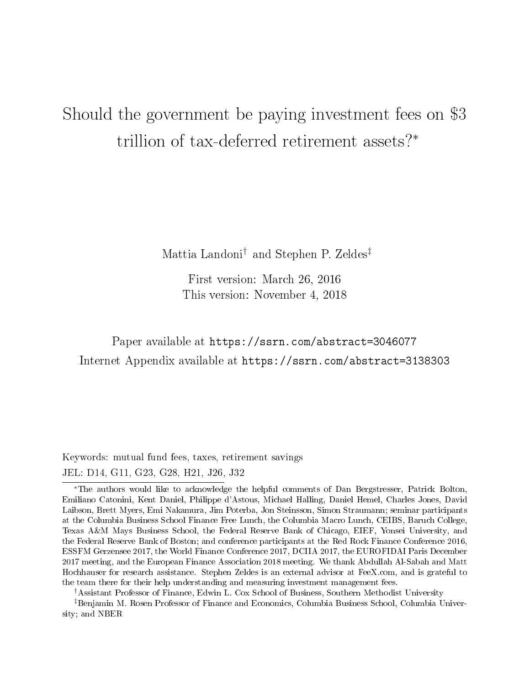# Should the government be paying investment fees on \$3 trillion of tax-deferred retirement assets?<sup>∗</sup>

Mattia Landoni† and Stephen P. Zeldes‡

First version: March 26, 2016 This version: November 4, 2018

Paper available at https://ssrn.com/abstract=3046077 Internet Appendix available at https://ssrn.com/abstract=3138303

Keywords: mutual fund fees, taxes, retirement savings JEL: D14, G11, G23, G28, H21, J26, J32

†Assistant Professor of Finance, Edwin L. Cox School of Business, Southern Methodist University

‡Benjamin M. Rosen Professor of Finance and Economics, Columbia Business School, Columbia University; and NBER

<sup>∗</sup>The authors would like to acknowledge the helpful comments of Dan Bergstresser, Patrick Bolton, Emiliano Catonini, Kent Daniel, Philippe d'Astous, Michael Halling, Daniel Hemel, Charles Jones, David Laibson, Brett Myers, Emi Nakamura, Jim Poterba, Jon Steinsson, Simon Straumann; seminar participants at the Columbia Business School Finance Free Lunch, the Columbia Macro Lunch, CEIBS, Baruch College, Texas A&M Mays Business School, the Federal Reserve Bank of Chicago, EIEF, Yonsei University, and the Federal Reserve Bank of Boston; and conference participants at the Red Rock Finance Conference 2016, ESSFM Gerzensee 2017, the World Finance Conference 2017, DCIIA 2017, the EUROFIDAI Paris December 2017 meeting, and the European Finance Association 2018 meeting. We thank Abdullah Al-Sabah and Matt Hochhauser for research assistance. Stephen Zeldes is an external advisor at FeeX.com, and is grateful to the team there for their help understanding and measuring investment management fees.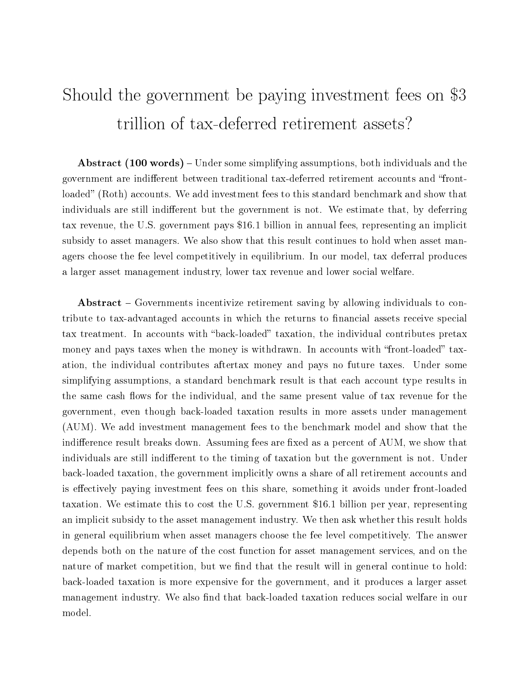# Should the government be paying investment fees on \$3 trillion of tax-deferred retirement assets?

**Abstract (100 words)** – Under some simplifying assumptions, both individuals and the government are indifferent between traditional tax-deferred retirement accounts and "frontloaded" (Roth) accounts. We add investment fees to this standard benchmark and show that individuals are still indifferent but the government is not. We estimate that, by deferring tax revenue, the U.S. government pays \$16.1 billion in annual fees, representing an implicit subsidy to asset managers. We also show that this result continues to hold when asset managers choose the fee level competitively in equilibrium. In our model, tax deferral produces a larger asset management industry, lower tax revenue and lower social welfare.

Abstract – Governments incentivize retirement saving by allowing individuals to contribute to tax-advantaged accounts in which the returns to nancial assets receive special tax treatment. In accounts with "back-loaded" taxation, the individual contributes pretax money and pays taxes when the money is withdrawn. In accounts with "front-loaded" taxation, the individual contributes aftertax money and pays no future taxes. Under some simplifying assumptions, a standard benchmark result is that each account type results in the same cash flows for the individual, and the same present value of tax revenue for the government, even though back-loaded taxation results in more assets under management (AUM). We add investment management fees to the benchmark model and show that the indifference result breaks down. Assuming fees are fixed as a percent of AUM, we show that individuals are still indifferent to the timing of taxation but the government is not. Under back-loaded taxation, the government implicitly owns a share of all retirement accounts and is effectively paying investment fees on this share, something it avoids under front-loaded taxation. We estimate this to cost the U.S. government \$16.1 billion per year, representing an implicit subsidy to the asset management industry. We then ask whether this result holds in general equilibrium when asset managers choose the fee level competitively. The answer depends both on the nature of the cost function for asset management services, and on the nature of market competition, but we find that the result will in general continue to hold: back-loaded taxation is more expensive for the government, and it produces a larger asset management industry. We also find that back-loaded taxation reduces social welfare in our model.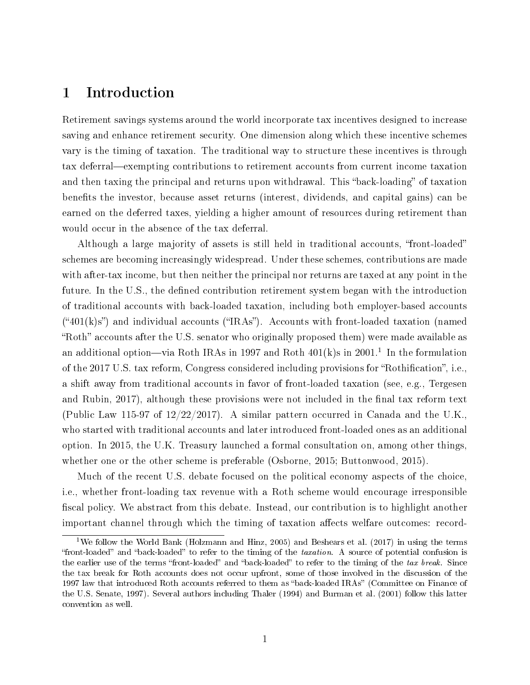### 1 Introduction

Retirement savings systems around the world incorporate tax incentives designed to increase saving and enhance retirement security. One dimension along which these incentive schemes vary is the timing of taxation. The traditional way to structure these incentives is through tax deferral—exempting contributions to retirement accounts from current income taxation and then taxing the principal and returns upon withdrawal. This "back-loading" of taxation benefits the investor, because asset returns (interest, dividends, and capital gains) can be earned on the deferred taxes, yielding a higher amount of resources during retirement than would occur in the absence of the tax deferral.

Although a large majority of assets is still held in traditional accounts, "front-loaded" schemes are becoming increasingly widespread. Under these schemes, contributions are made with after-tax income, but then neither the principal nor returns are taxed at any point in the future. In the U.S., the defined contribution retirement system began with the introduction of traditional accounts with back-loaded taxation, including both employer-based accounts  $(401(k)s)$  and individual accounts ("IRAs"). Accounts with front-loaded taxation (named "Roth" accounts after the U.S. senator who originally proposed them) were made available as an additional option—via Roth IRAs in 1997 and Roth  $401(k)s$  in  $2001<sup>1</sup>$  In the formulation of the 2017 U.S. tax reform, Congress considered including provisions for "Rothification", i.e., a shift away from traditional accounts in favor of front-loaded taxation (see, e.g., Tergesen and Rubin, 2017), although these provisions were not included in the final tax reform text (Public Law 115-97 of  $12/22/2017$ ). A similar pattern occurred in Canada and the U.K., who started with traditional accounts and later introduced front-loaded ones as an additional option. In 2015, the U.K. Treasury launched a formal consultation on, among other things, whether one or the other scheme is preferable (Osborne, 2015; Buttonwood, 2015).

Much of the recent U.S. debate focused on the political economy aspects of the choice, i.e., whether front-loading tax revenue with a Roth scheme would encourage irresponsible fiscal policy. We abstract from this debate. Instead, our contribution is to highlight another important channel through which the timing of taxation affects welfare outcomes: record-

<sup>1</sup>We follow the World Bank (Holzmann and Hinz, 2005) and Beshears et al. (2017) in using the terms "front-loaded" and "back-loaded" to refer to the timing of the taxation. A source of potential confusion is the earlier use of the terms "front-loaded" and "back-loaded" to refer to the timing of the tax break. Since the tax break for Roth accounts does not occur upfront, some of those involved in the discussion of the 1997 law that introduced Roth accounts referred to them as "back-loaded IRAs" (Committee on Finance of the U.S. Senate, 1997). Several authors including Thaler (1994) and Burman et al. (2001) follow this latter convention as well.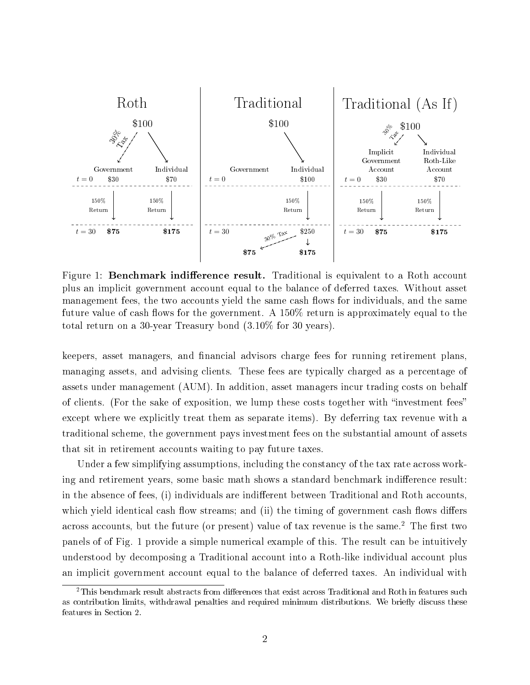

Figure 1: **Benchmark indifference result.** Traditional is equivalent to a Roth account plus an implicit government account equal to the balance of deferred taxes. Without asset management fees, the two accounts yield the same cash flows for individuals, and the same future value of cash flows for the government. A  $150\%$  return is approximately equal to the total return on a 30-year Treasury bond (3.10% for 30 years).

keepers, asset managers, and financial advisors charge fees for running retirement plans, managing assets, and advising clients. These fees are typically charged as a percentage of assets under management (AUM). In addition, asset managers incur trading costs on behalf of clients. (For the sake of exposition, we lump these costs together with "investment fees" except where we explicitly treat them as separate items). By deferring tax revenue with a traditional scheme, the government pays investment fees on the substantial amount of assets that sit in retirement accounts waiting to pay future taxes.

Under a few simplifying assumptions, including the constancy of the tax rate across working and retirement years, some basic math shows a standard benchmark indifference result: in the absence of fees, (i) individuals are indifferent between Traditional and Roth accounts, which yield identical cash flow streams; and (ii) the timing of government cash flows differs across accounts, but the future (or present) value of tax revenue is the same.<sup>2</sup> The first two panels of of Fig. 1 provide a simple numerical example of this. The result can be intuitively understood by decomposing a Traditional account into a Roth-like individual account plus an implicit government account equal to the balance of deferred taxes. An individual with

 $2$ This benchmark result abstracts from differences that exist across Traditional and Roth in features such as contribution limits, withdrawal penalties and required minimum distributions. We briefly discuss these features in Section 2.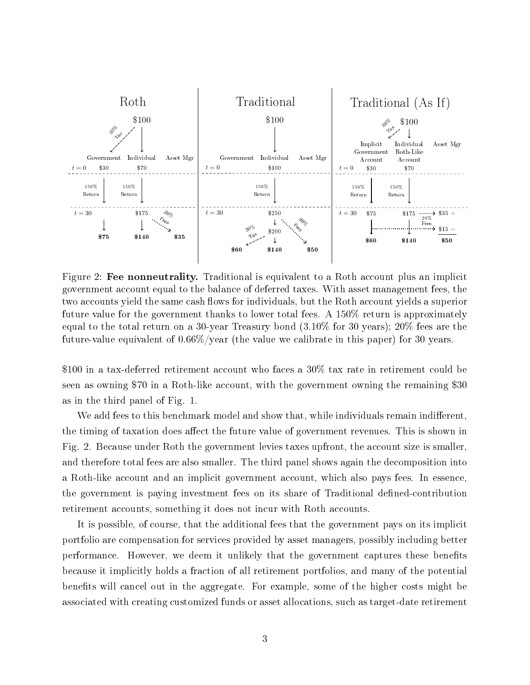

Figure 2: Fee nonneutrality. Traditional is equivalent to a Roth account plus an implicit government account equal to the balance of deferred taxes. With asset management fees, the two accounts yield the same cash flows for individuals, but the Roth account yields a superior future value for the government thanks to lower total fees. A 150% return is approximately equal to the total return on a 30-year Treasury bond (3.10% for 30 years); 20% fees are the future-value equivalent of 0.66%/year (the value we calibrate in this paper) for 30 years.

\$100 in a tax-deferred retirement account who faces a 30% tax rate in retirement could be seen as owning \$70 in a Roth-like account, with the government owning the remaining \$30 as in the third panel of Fig. 1.

We add fees to this benchmark model and show that, while individuals remain indifferent. the timing of taxation does affect the future value of government revenues. This is shown in Fig. 2. Because under Roth the government levies taxes upfront, the account size is smaller, and therefore total fees are also smaller. The third panel shows again the decomposition into a Roth-like account and an implicit government account, which also pays fees. In essence, the government is paying investment fees on its share of Traditional defined-contribution retirement accounts, something it does not incur with Roth accounts.

It is possible, of course, that the additional fees that the government pays on its implicit portfolio are compensation for services provided by asset managers, possibly including better performance. However, we deem it unlikely that the government captures these benefits because it implicitly holds a fraction of all retirement portfolios, and many of the potential benefits will cancel out in the aggregate. For example, some of the higher costs might be associated with creating customized funds or asset allocations, such as target-date retirement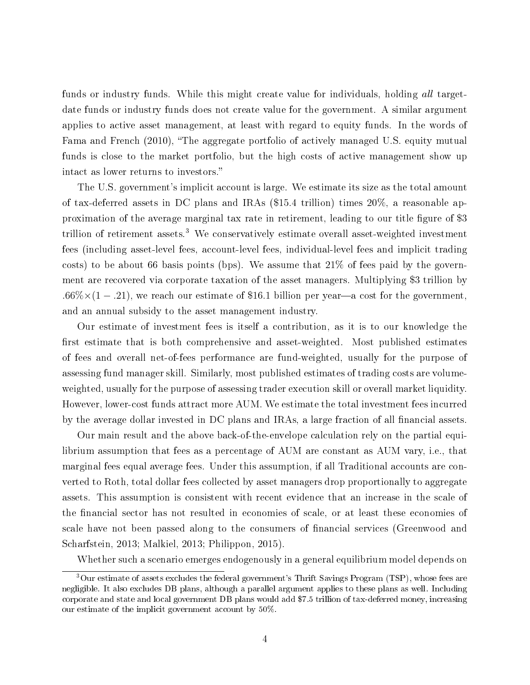funds or industry funds. While this might create value for individuals, holding all targetdate funds or industry funds does not create value for the government. A similar argument applies to active asset management, at least with regard to equity funds. In the words of Fama and French (2010), "The aggregate portfolio of actively managed U.S. equity mutual funds is close to the market portfolio, but the high costs of active management show up intact as lower returns to investors.

The U.S. government's implicit account is large. We estimate its size as the total amount of tax-deferred assets in DC plans and IRAs (\$15.4 trillion) times 20%, a reasonable approximation of the average marginal tax rate in retirement, leading to our title figure of \$3 trillion of retirement assets.<sup>3</sup> We conservatively estimate overall asset-weighted investment fees (including asset-level fees, account-level fees, individual-level fees and implicit trading costs) to be about 66 basis points (bps). We assume that  $21\%$  of fees paid by the government are recovered via corporate taxation of the asset managers. Multiplying \$3 trillion by .66%×(1 – .21), we reach our estimate of \$16.1 billion per year—a cost for the government, and an annual subsidy to the asset management industry.

Our estimate of investment fees is itself a contribution, as it is to our knowledge the first estimate that is both comprehensive and asset-weighted. Most published estimates of fees and overall net-of-fees performance are fund-weighted, usually for the purpose of assessing fund manager skill. Similarly, most published estimates of trading costs are volumeweighted, usually for the purpose of assessing trader execution skill or overall market liquidity. However, lower-cost funds attract more AUM. We estimate the total investment fees incurred by the average dollar invested in DC plans and IRAs, a large fraction of all financial assets.

Our main result and the above back-of-the-envelope calculation rely on the partial equilibrium assumption that fees as a percentage of AUM are constant as AUM vary, i.e., that marginal fees equal average fees. Under this assumption, if all Traditional accounts are converted to Roth, total dollar fees collected by asset managers drop proportionally to aggregate assets. This assumption is consistent with recent evidence that an increase in the scale of the financial sector has not resulted in economies of scale, or at least these economies of scale have not been passed along to the consumers of financial services (Greenwood and Scharfstein, 2013; Malkiel, 2013; Philippon, 2015).

Whether such a scenario emerges endogenously in a general equilibrium model depends on

<sup>3</sup>Our estimate of assets excludes the federal government's Thrift Savings Program (TSP), whose fees are negligible. It also excludes DB plans, although a parallel argument applies to these plans as well. Including corporate and state and local government DB plans would add \$7.5 trillion of tax-deferred money, increasing our estimate of the implicit government account by 50%.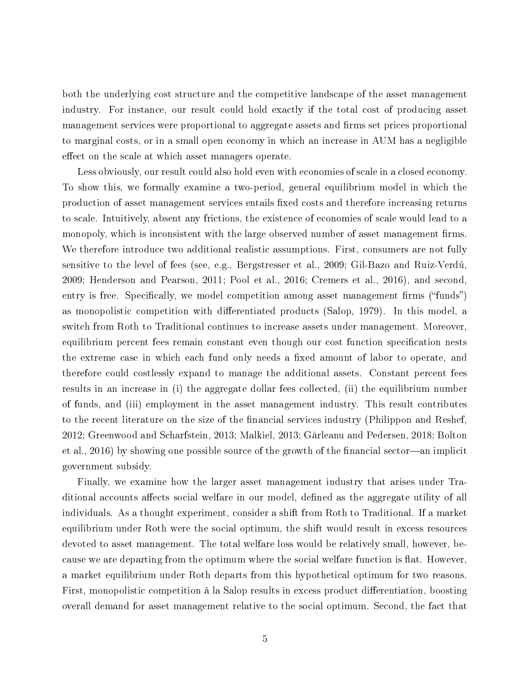both the underlying cost structure and the competitive landscape of the asset management industry. For instance, our result could hold exactly if the total cost of producing asset management services were proportional to aggregate assets and firms set prices proportional to marginal costs, or in a small open economy in which an increase in AUM has a negligible effect on the scale at which asset managers operate.

Less obviously, our result could also hold even with economies of scale in a closed economy. To show this, we formally examine a two-period, general equilibrium model in which the production of asset management services entails fixed costs and therefore increasing returns to scale. Intuitively, absent any frictions, the existence of economies of scale would lead to a monopoly, which is inconsistent with the large observed number of asset management firms. We therefore introduce two additional realistic assumptions. First, consumers are not fully sensitive to the level of fees (see, e.g., Bergstresser et al., 2009; Gil-Bazo and Ruiz-Verdú, 2009; Henderson and Pearson, 2011; Pool et al., 2016; Cremers et al., 2016), and second, entry is free. Specifically, we model competition among asset management firms ("funds") as monopolistic competition with differentiated products (Salop, 1979). In this model, a switch from Roth to Traditional continues to increase assets under management. Moreover, equilibrium percent fees remain constant even though our cost function specification nests the extreme case in which each fund only needs a fixed amount of labor to operate, and therefore could costlessly expand to manage the additional assets. Constant percent fees results in an increase in (i) the aggregate dollar fees collected, (ii) the equilibrium number of funds, and (iii) employment in the asset management industry. This result contributes to the recent literature on the size of the financial services industry (Philippon and Reshef, 2012; Greenwood and Scharfstein, 2013; Malkiel, 2013; Gârleanu and Pedersen, 2018; Bolton et al.,  $2016$ ) by showing one possible source of the growth of the financial sector—an implicit government subsidy.

Finally, we examine how the larger asset management industry that arises under Traditional accounts affects social welfare in our model, defined as the aggregate utility of all individuals. As a thought experiment, consider a shift from Roth to Traditional. If a market equilibrium under Roth were the social optimum, the shift would result in excess resources devoted to asset management. The total welfare loss would be relatively small, however, because we are departing from the optimum where the social welfare function is flat. However, a market equilibrium under Roth departs from this hypothetical optimum for two reasons. First, monopolistic competition à la Salop results in excess product differentiation, boosting overall demand for asset management relative to the social optimum. Second, the fact that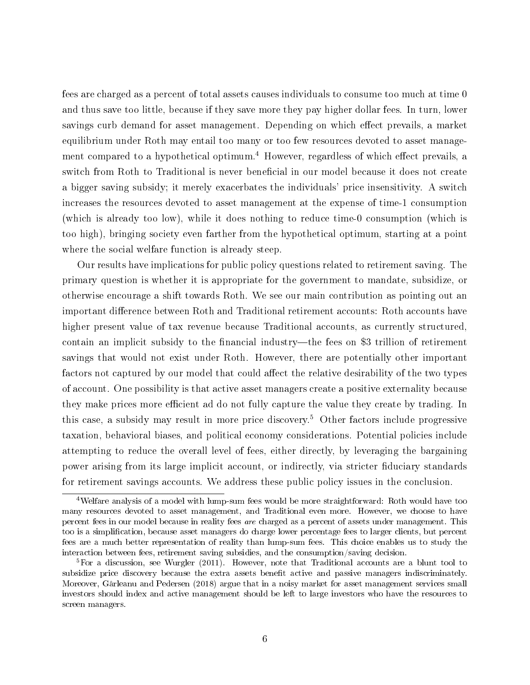fees are charged as a percent of total assets causes individuals to consume too much at time 0 and thus save too little, because if they save more they pay higher dollar fees. In turn, lower savings curb demand for asset management. Depending on which effect prevails, a market equilibrium under Roth may entail too many or too few resources devoted to asset management compared to a hypothetical optimum.<sup>4</sup> However, regardless of which effect prevails, a switch from Roth to Traditional is never beneficial in our model because it does not create a bigger saving subsidy; it merely exacerbates the individuals' price insensitivity. A switch increases the resources devoted to asset management at the expense of time-1 consumption (which is already too low), while it does nothing to reduce time-0 consumption (which is too high), bringing society even farther from the hypothetical optimum, starting at a point where the social welfare function is already steep.

Our results have implications for public policy questions related to retirement saving. The primary question is whether it is appropriate for the government to mandate, subsidize, or otherwise encourage a shift towards Roth. We see our main contribution as pointing out an important difference between Roth and Traditional retirement accounts: Roth accounts have higher present value of tax revenue because Traditional accounts, as currently structured, contain an implicit subsidy to the financial industry—the fees on \$3 trillion of retirement savings that would not exist under Roth. However, there are potentially other important factors not captured by our model that could affect the relative desirability of the two types of account. One possibility is that active asset managers create a positive externality because they make prices more efficient ad do not fully capture the value they create by trading. In this case, a subsidy may result in more price discovery.<sup>5</sup> Other factors include progressive taxation, behavioral biases, and political economy considerations. Potential policies include attempting to reduce the overall level of fees, either directly, by leveraging the bargaining power arising from its large implicit account, or indirectly, via stricter fiduciary standards for retirement savings accounts. We address these public policy issues in the conclusion.

<sup>4</sup>Welfare analysis of a model with lump-sum fees would be more straightforward: Roth would have too many resources devoted to asset management, and Traditional even more. However, we choose to have percent fees in our model because in reality fees are charged as a percent of assets under management. This too is a simplication, because asset managers do charge lower percentage fees to larger clients, but percent fees are a much better representation of reality than lump-sum fees. This choice enables us to study the interaction between fees, retirement saving subsidies, and the consumption/saving decision.

<sup>&</sup>lt;sup>5</sup>For a discussion, see Wurgler (2011). However, note that Traditional accounts are a blunt tool to subsidize price discovery because the extra assets benefit active and passive managers indiscriminately. Moreover, Gârleanu and Pedersen (2018) argue that in a noisy market for asset management services small investors should index and active management should be left to large investors who have the resources to screen managers.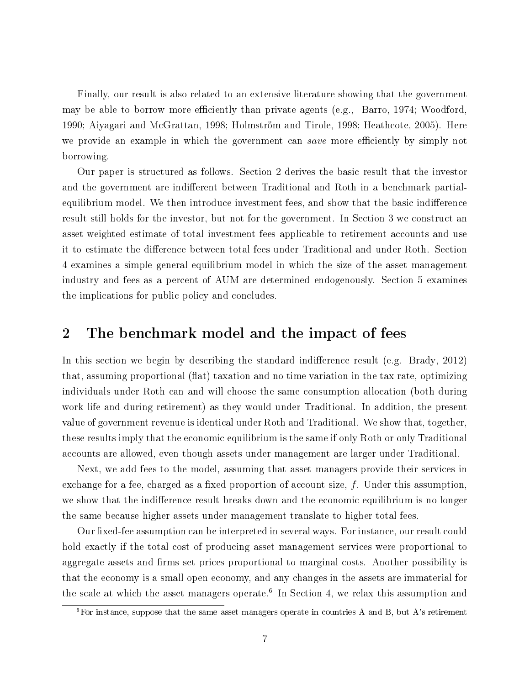Finally, our result is also related to an extensive literature showing that the government may be able to borrow more efficiently than private agents (e.g., Barro, 1974; Woodford, 1990; Aiyagari and McGrattan, 1998; Holmström and Tirole, 1998; Heathcote, 2005). Here we provide an example in which the government can *save* more efficiently by simply not borrowing.

Our paper is structured as follows. Section 2 derives the basic result that the investor and the government are indifferent between Traditional and Roth in a benchmark partialequilibrium model. We then introduce investment fees, and show that the basic indifference result still holds for the investor, but not for the government. In Section 3 we construct an asset-weighted estimate of total investment fees applicable to retirement accounts and use it to estimate the difference between total fees under Traditional and under Roth. Section 4 examines a simple general equilibrium model in which the size of the asset management industry and fees as a percent of AUM are determined endogenously. Section 5 examines the implications for public policy and concludes.

### 2 The benchmark model and the impact of fees

In this section we begin by describing the standard indifference result (e.g. Brady,  $2012$ ) that, assuming proportional (flat) taxation and no time variation in the tax rate, optimizing individuals under Roth can and will choose the same consumption allocation (both during work life and during retirement) as they would under Traditional. In addition, the present value of government revenue is identical under Roth and Traditional. We show that, together, these results imply that the economic equilibrium is the same if only Roth or only Traditional accounts are allowed, even though assets under management are larger under Traditional.

Next, we add fees to the model, assuming that asset managers provide their services in exchange for a fee, charged as a fixed proportion of account size,  $f$ . Under this assumption, we show that the indifference result breaks down and the economic equilibrium is no longer the same because higher assets under management translate to higher total fees.

Our fixed-fee assumption can be interpreted in several ways. For instance, our result could hold exactly if the total cost of producing asset management services were proportional to aggregate assets and firms set prices proportional to marginal costs. Another possibility is that the economy is a small open economy, and any changes in the assets are immaterial for the scale at which the asset managers operate.<sup>6</sup> In Section 4, we relax this assumption and

 ${}^{6}$ For instance, suppose that the same asset managers operate in countries A and B, but A's retirement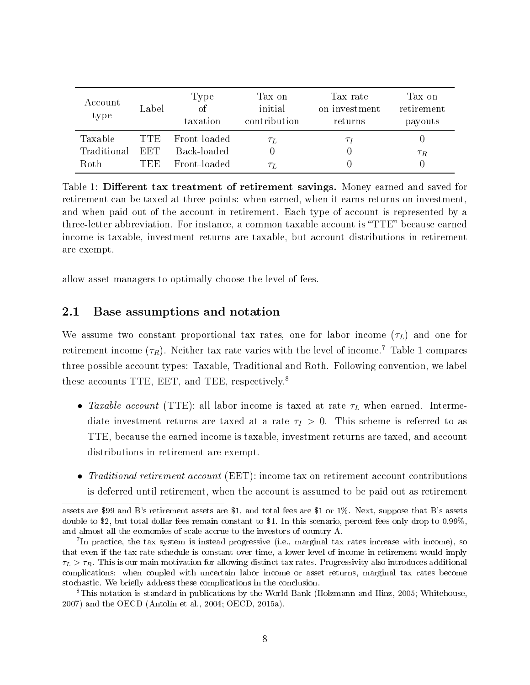| Account<br>type                | Label              | Type<br><sub>of</sub><br>taxation           | Tax on<br>initial<br>contribution | Tax rate<br>on investment<br>returns | Tax on<br>retirement<br>payouts |
|--------------------------------|--------------------|---------------------------------------------|-----------------------------------|--------------------------------------|---------------------------------|
| Taxable<br>Traditional<br>Roth | TTE.<br>EET<br>TEE | Front-loaded<br>Back-loaded<br>Front-loaded | $\tau_L$<br>$\tau_L$              | $\tau_I$                             | $\tau_R$                        |

Table 1: Different tax treatment of retirement savings. Money earned and saved for retirement can be taxed at three points: when earned, when it earns returns on investment, and when paid out of the account in retirement. Each type of account is represented by a three-letter abbreviation. For instance, a common taxable account is "TTE" because earned income is taxable, investment returns are taxable, but account distributions in retirement are exempt.

allow asset managers to optimally choose the level of fees.

### 2.1 Base assumptions and notation

We assume two constant proportional tax rates, one for labor income  $(\tau_L)$  and one for retirement income  $(\tau_R)$ . Neither tax rate varies with the level of income.<sup>7</sup> Table 1 compares three possible account types: Taxable, Traditional and Roth. Following convention, we label these accounts TTE, EET, and TEE, respectively.<sup>8</sup>

- Taxable account (TTE): all labor income is taxed at rate  $\tau_L$  when earned. Intermediate investment returns are taxed at a rate  $\tau_I > 0$ . This scheme is referred to as TTE, because the earned income is taxable, investment returns are taxed, and account distributions in retirement are exempt.
- Traditional retirement account (EET): income tax on retirement account contributions is deferred until retirement, when the account is assumed to be paid out as retirement

assets are \$99 and B's retirement assets are \$1, and total fees are \$1 or 1%. Next, suppose that B's assets double to \$2, but total dollar fees remain constant to \$1. In this scenario, percent fees only drop to 0.99%, and almost all the economies of scale accrue to the investors of country A.

<sup>&</sup>lt;sup>7</sup>In practice, the tax system is instead progressive (i.e., marginal tax rates increase with income), so that even if the tax rate schedule is constant over time, a lower level of income in retirement would imply  $\tau_L > \tau_R$ . This is our main motivation for allowing distinct tax rates. Progressivity also introduces additional complications: when coupled with uncertain labor income or asset returns, marginal tax rates become stochastic. We briefly address these complications in the conclusion.

<sup>8</sup>This notation is standard in publications by the World Bank (Holzmann and Hinz, 2005; Whitehouse, 2007) and the OECD (Antolín et al., 2004; OECD, 2015a).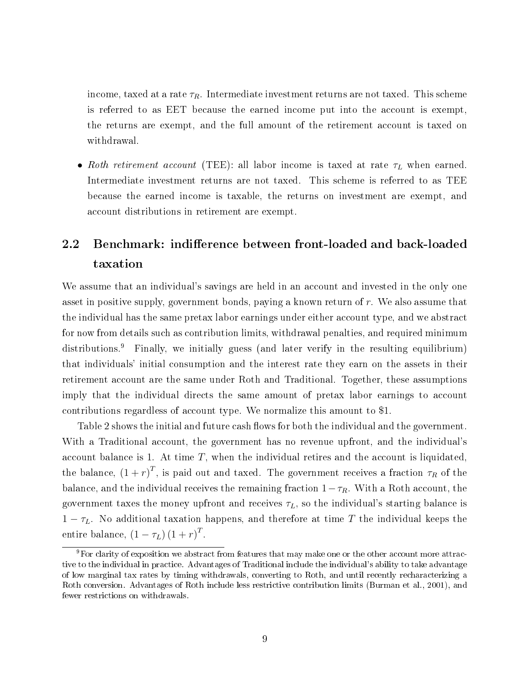income, taxed at a rate  $\tau_R$ . Intermediate investment returns are not taxed. This scheme is referred to as EET because the earned income put into the account is exempt, the returns are exempt, and the full amount of the retirement account is taxed on withdrawal.

• Roth retirement account (TEE): all labor income is taxed at rate  $\tau_L$  when earned. Intermediate investment returns are not taxed. This scheme is referred to as TEE because the earned income is taxable, the returns on investment are exempt, and account distributions in retirement are exempt.

## 2.2 Benchmark: indifference between front-loaded and back-loaded taxation

We assume that an individual's savings are held in an account and invested in the only one asset in positive supply, government bonds, paying a known return of r. We also assume that the individual has the same pretax labor earnings under either account type, and we abstract for now from details such as contribution limits, withdrawal penalties, and required minimum distributions.<sup>9</sup> Finally, we initially guess (and later verify in the resulting equilibrium) that individuals' initial consumption and the interest rate they earn on the assets in their retirement account are the same under Roth and Traditional. Together, these assumptions imply that the individual directs the same amount of pretax labor earnings to account contributions regardless of account type. We normalize this amount to \$1.

Table 2 shows the initial and future cash flows for both the individual and the government. With a Traditional account, the government has no revenue upfront, and the individual's account balance is 1. At time  $T$ , when the individual retires and the account is liquidated, the balance,  $(1+r)^T$ , is paid out and taxed. The government receives a fraction  $\tau_R$  of the balance, and the individual receives the remaining fraction  $1-\tau_R$ . With a Roth account, the government taxes the money upfront and receives  $\tau_L$ , so the individual's starting balance is  $1 - \tau_L$ . No additional taxation happens, and therefore at time T the individual keeps the entire balance,  $(1 - \tau_L) (1 + r)^T$ .

<sup>9</sup>For clarity of exposition we abstract from features that may make one or the other account more attractive to the individual in practice. Advantages of Traditional include the individual's ability to take advantage of low marginal tax rates by timing withdrawals, converting to Roth, and until recently recharacterizing a Roth conversion. Advantages of Roth include less restrictive contribution limits (Burman et al., 2001), and fewer restrictions on withdrawals.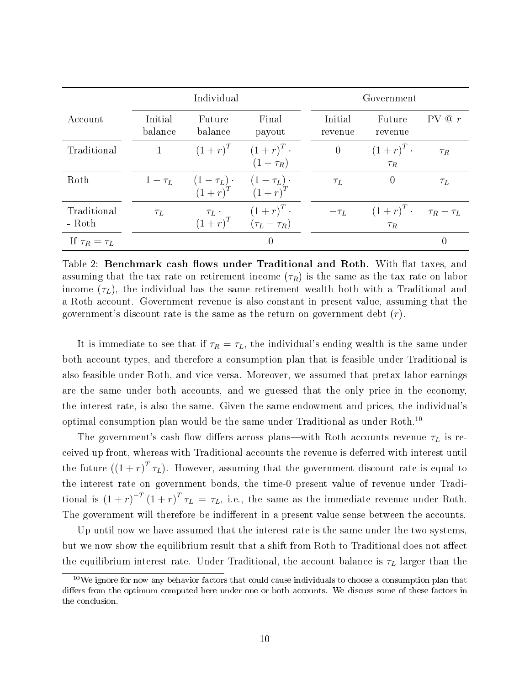|                       | Individual         |                                        |                                                                                                                                                                                                                                                                                                                                                                                                                                                               |  | Government         |                                         |                  |  |
|-----------------------|--------------------|----------------------------------------|---------------------------------------------------------------------------------------------------------------------------------------------------------------------------------------------------------------------------------------------------------------------------------------------------------------------------------------------------------------------------------------------------------------------------------------------------------------|--|--------------------|-----------------------------------------|------------------|--|
| Account               | Initial<br>balance | Future<br>balance                      | Final<br>payout                                                                                                                                                                                                                                                                                                                                                                                                                                               |  | Initial<br>revenue | Future<br>revenue                       | PV @ r           |  |
| Traditional           | $\mathbf{1}$       |                                        | $(1+r)^T$ $(1+r)^T$ .<br>$(1-\tau_R)$                                                                                                                                                                                                                                                                                                                                                                                                                         |  | $\overline{0}$     | $(1+r)^T$ .<br>$\tau_R$                 | $\tau_R$         |  |
| Roth                  |                    | $1-\tau_L$ $(1-\tau_L)$ $(1-\tau_L)$ . | $(1+r)^T$ $(1+r)^T$                                                                                                                                                                                                                                                                                                                                                                                                                                           |  | $\tau_L$           | $\theta$                                | $\tau_L$         |  |
| Traditional<br>- Roth | $\tau_L$           |                                        | $\tau_L \cdot \frac{(1+r)^T \cdot (1+r)^T \cdot (1+r)^T \cdot (1+r)^T \cdot (1+r)^T \cdot (1+r)^T \cdot (1+r)^T \cdot (1+r)^T \cdot (1+r)^T \cdot (1+r)^T \cdot (1+r)^T \cdot (1+r)^T \cdot (1+r)^T \cdot (1+r)^T \cdot (1+r)^T \cdot (1+r)^T \cdot (1+r)^T \cdot (1+r)^T \cdot (1+r)^T \cdot (1+r)^T \cdot (1+r)^T \cdot (1+r)^T \cdot (1+r)^T \cdot (1+r)^T \cdot (1+r)^T \cdot (1+r)^T \cdot (1+r)^T \cdot (1+r)^T \cdot (1+r)^T \cdot (1+r)^T \cdot (1+r$ |  | $-\tau_L$          | $(1+r)^T$ $\tau_R - \tau_L$<br>$\tau_R$ |                  |  |
| If $\tau_R = \tau_L$  |                    |                                        | 0                                                                                                                                                                                                                                                                                                                                                                                                                                                             |  |                    |                                         | $\left( \right)$ |  |

Table 2: Benchmark cash flows under Traditional and Roth. With flat taxes, and assuming that the tax rate on retirement income  $(\tau_R)$  is the same as the tax rate on labor income  $(\tau_L)$ , the individual has the same retirement wealth both with a Traditional and a Roth account. Government revenue is also constant in present value, assuming that the government's discount rate is the same as the return on government debt (r).

It is immediate to see that if  $\tau_R = \tau_L$ , the individual's ending wealth is the same under both account types, and therefore a consumption plan that is feasible under Traditional is also feasible under Roth, and vice versa. Moreover, we assumed that pretax labor earnings are the same under both accounts, and we guessed that the only price in the economy, the interest rate, is also the same. Given the same endowment and prices, the individual's optimal consumption plan would be the same under Traditional as under Roth.<sup>10</sup>

The government's cash flow differs across plans—with Roth accounts revenue  $\tau_L$  is received up front, whereas with Traditional accounts the revenue is deferred with interest until the future  $((1+r)^T \tau_L)$ . However, assuming that the government discount rate is equal to the interest rate on government bonds, the time-0 present value of revenue under Traditional is  $(1+r)^{-T}(1+r)^{T} \tau_L = \tau_L$ , i.e., the same as the immediate revenue under Roth. The government will therefore be indifferent in a present value sense between the accounts.

Up until now we have assumed that the interest rate is the same under the two systems, but we now show the equilibrium result that a shift from Roth to Traditional does not affect the equilibrium interest rate. Under Traditional, the account balance is  $\tau_L$  larger than the

<sup>&</sup>lt;sup>10</sup>We ignore for now any behavior factors that could cause individuals to choose a consumption plan that differs from the optimum computed here under one or both accounts. We discuss some of these factors in the conclusion.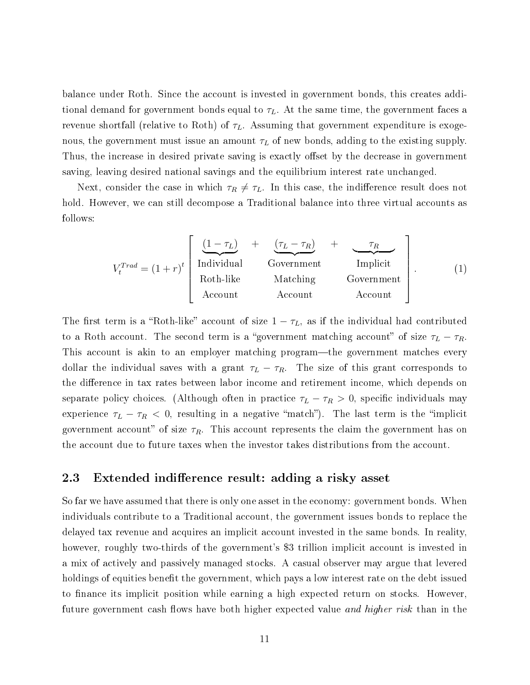balance under Roth. Since the account is invested in government bonds, this creates additional demand for government bonds equal to  $\tau_L$ . At the same time, the government faces a revenue shortfall (relative to Roth) of  $\tau_L$ . Assuming that government expenditure is exogenous, the government must issue an amount  $\tau_L$  of new bonds, adding to the existing supply. Thus, the increase in desired private saving is exactly offset by the decrease in government saving, leaving desired national savings and the equilibrium interest rate unchanged.

Next, consider the case in which  $\tau_R \neq \tau_L$ . In this case, the indifference result does not hold. However, we can still decompose a Traditional balance into three virtual accounts as follows:

$$
V_t^{Trad} = (1+r)^t \begin{bmatrix} \frac{(1-\tau_L)}{\text{Individual}} & + & \frac{(\tau_L - \tau_R)}{\text{Government}} & + & \frac{\tau_R}{\text{Implicit}} \\ \text{Roth-like} & \text{Matching} & \text{Government} \\ \text{Account} & \text{Account} & \text{Account} \end{bmatrix} . \tag{1}
$$

The first term is a "Roth-like" account of size  $1 - \tau_L$ , as if the individual had contributed to a Roth account. The second term is a "government matching account" of size  $\tau_L - \tau_R$ . This account is akin to an employer matching program—the government matches every dollar the individual saves with a grant  $\tau_L - \tau_R$ . The size of this grant corresponds to the difference in tax rates between labor income and retirement income, which depends on separate policy choices. (Although often in practice  $\tau_L - \tau_R > 0$ , specific individuals may experience  $\tau_L - \tau_R < 0$ , resulting in a negative "match"). The last term is the "implicit government account" of size  $\tau_R$ . This account represents the claim the government has on the account due to future taxes when the investor takes distributions from the account.

### 2.3 Extended indifference result: adding a risky asset

So far we have assumed that there is only one asset in the economy: government bonds. When individuals contribute to a Traditional account, the government issues bonds to replace the delayed tax revenue and acquires an implicit account invested in the same bonds. In reality, however, roughly two-thirds of the government's \$3 trillion implicit account is invested in a mix of actively and passively managed stocks. A casual observer may argue that levered holdings of equities benefit the government, which pays a low interest rate on the debt issued to finance its implicit position while earning a high expected return on stocks. However, future government cash flows have both higher expected value *and higher risk* than in the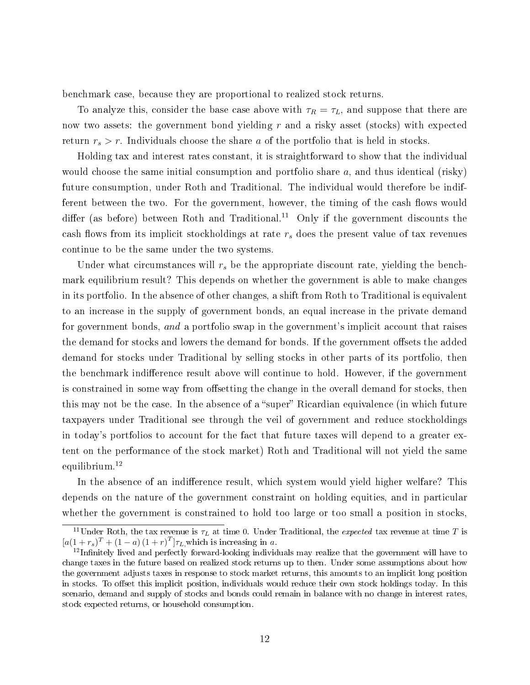benchmark case, because they are proportional to realized stock returns.

To analyze this, consider the base case above with  $\tau_R = \tau_L$ , and suppose that there are now two assets: the government bond yielding  $r$  and a risky asset (stocks) with expected return  $r_s > r$ . Individuals choose the share a of the portfolio that is held in stocks.

Holding tax and interest rates constant, it is straightforward to show that the individual would choose the same initial consumption and portfolio share  $a$ , and thus identical (risky) future consumption, under Roth and Traditional. The individual would therefore be indifferent between the two. For the government, however, the timing of the cash flows would differ (as before) between Roth and Traditional.<sup>11</sup> Only if the government discounts the cash flows from its implicit stockholdings at rate  $r<sub>s</sub>$  does the present value of tax revenues continue to be the same under the two systems.

Under what circumstances will  $r_s$  be the appropriate discount rate, yielding the benchmark equilibrium result? This depends on whether the government is able to make changes in its portfolio. In the absence of other changes, a shift from Roth to Traditional is equivalent to an increase in the supply of government bonds, an equal increase in the private demand for government bonds, and a portfolio swap in the government's implicit account that raises the demand for stocks and lowers the demand for bonds. If the government offsets the added demand for stocks under Traditional by selling stocks in other parts of its portfolio, then the benchmark indifference result above will continue to hold. However, if the government is constrained in some way from offsetting the change in the overall demand for stocks, then this may not be the case. In the absence of a "super" Ricardian equivalence (in which future taxpayers under Traditional see through the veil of government and reduce stockholdings in today's portfolios to account for the fact that future taxes will depend to a greater extent on the performance of the stock market) Roth and Traditional will not yield the same equilibrium.<sup>12</sup>

In the absence of an indifference result, which system would yield higher welfare? This depends on the nature of the government constraint on holding equities, and in particular whether the government is constrained to hold too large or too small a position in stocks,

<sup>&</sup>lt;sup>11</sup>Under Roth, the tax revenue is  $\tau_L$  at time 0. Under Traditional, the *expected* tax revenue at time T is  $[a(1+r_s)^T+(1-a)(1+r)^T]\tau_L$ , which is increasing in a.

<sup>&</sup>lt;sup>12</sup>Infinitely lived and perfectly forward-looking individuals may realize that the government will have to change taxes in the future based on realized stock returns up to then. Under some assumptions about how the government adjusts taxes in response to stock market returns, this amounts to an implicit long position in stocks. To offset this implicit position, individuals would reduce their own stock holdings today. In this scenario, demand and supply of stocks and bonds could remain in balance with no change in interest rates, stock expected returns, or household consumption.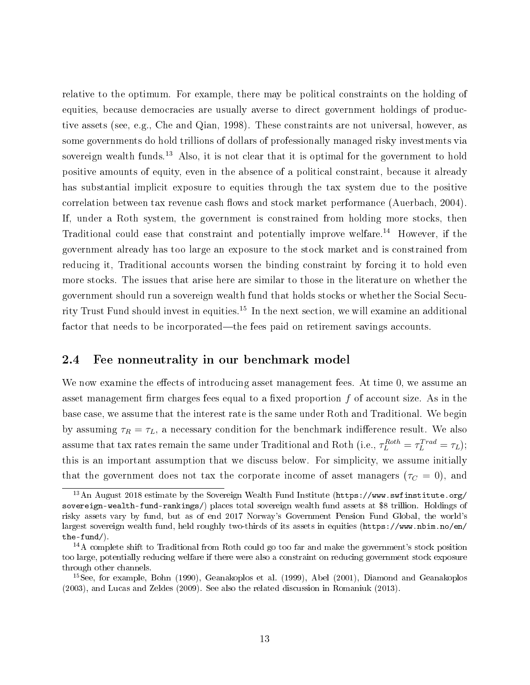relative to the optimum. For example, there may be political constraints on the holding of equities, because democracies are usually averse to direct government holdings of productive assets (see, e.g., Che and Qian, 1998). These constraints are not universal, however, as some governments do hold trillions of dollars of professionally managed risky investments via sovereign wealth funds.<sup>13</sup> Also, it is not clear that it is optimal for the government to hold positive amounts of equity, even in the absence of a political constraint, because it already has substantial implicit exposure to equities through the tax system due to the positive correlation between tax revenue cash flows and stock market performance (Auerbach, 2004). If, under a Roth system, the government is constrained from holding more stocks, then Traditional could ease that constraint and potentially improve welfare.<sup>14</sup> However, if the government already has too large an exposure to the stock market and is constrained from reducing it, Traditional accounts worsen the binding constraint by forcing it to hold even more stocks. The issues that arise here are similar to those in the literature on whether the government should run a sovereign wealth fund that holds stocks or whether the Social Security Trust Fund should invest in equities.<sup>15</sup> In the next section, we will examine an additional factor that needs to be incorporated—the fees paid on retirement savings accounts.

### 2.4 Fee nonneutrality in our benchmark model

We now examine the effects of introducing asset management fees. At time 0, we assume an asset management firm charges fees equal to a fixed proportion  $f$  of account size. As in the base case, we assume that the interest rate is the same under Roth and Traditional. We begin by assuming  $\tau_R = \tau_L$ , a necessary condition for the benchmark indifference result. We also assume that tax rates remain the same under Traditional and Roth (i.e.,  $\tau_L^{Roth} = \tau_L^{Trad} = \tau_L$ ); this is an important assumption that we discuss below. For simplicity, we assume initially that the government does not tax the corporate income of asset managers ( $\tau_C = 0$ ), and

<sup>&</sup>lt;sup>13</sup>An August 2018 estimate by the Sovereign Wealth Fund Institute (https://www.swfinstitute.org/ sovereign-wealth-fund-rankings/) places total sovereign wealth fund assets at \$8 trillion. Holdings of risky assets vary by fund, but as of end 2017 Norway's Government Pension Fund Global, the world's largest sovereign wealth fund, held roughly two-thirds of its assets in equities (https://www.nbim.no/en/ the-fund/).

<sup>14</sup>A complete shift to Traditional from Roth could go too far and make the government's stock position too large, potentially reducing welfare if there were also a constraint on reducing government stock exposure through other channels.

<sup>15</sup>See, for example, Bohn (1990), Geanakoplos et al. (1999), Abel (2001), Diamond and Geanakoplos (2003), and Lucas and Zeldes (2009). See also the related discussion in Romaniuk (2013).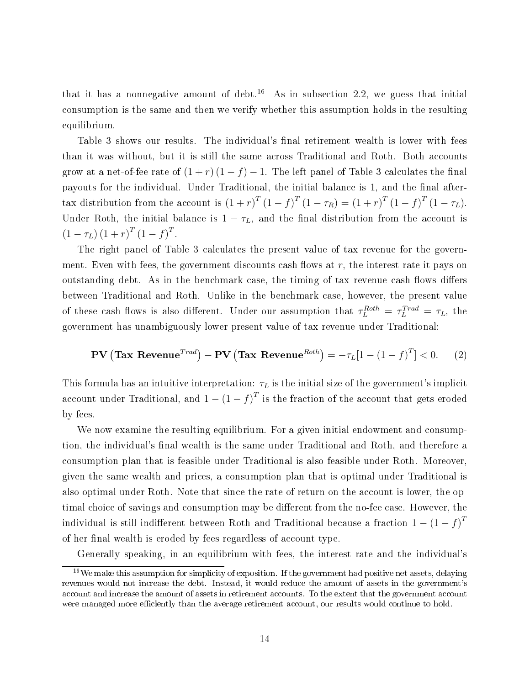that it has a nonnegative amount of debt.<sup>16</sup> As in subsection 2.2, we guess that initial consumption is the same and then we verify whether this assumption holds in the resulting equilibrium.

Table 3 shows our results. The individual's final retirement wealth is lower with fees than it was without, but it is still the same across Traditional and Roth. Both accounts grow at a net-of-fee rate of  $(1 + r)(1 - f) - 1$ . The left panel of Table 3 calculates the final payouts for the individual. Under Traditional, the initial balance is 1, and the final aftertax distribution from the account is  $(1+r)^T (1-f)^T (1-\tau_R) = (1+r)^T (1-f)^T (1-\tau_L)$ . Under Roth, the initial balance is  $1 - \tau_L$ , and the final distribution from the account is  $(1 - \tau_L) (1 + r)^T (1 - f)^T$ .

The right panel of Table 3 calculates the present value of tax revenue for the government. Even with fees, the government discounts cash flows at  $r$ , the interest rate it pays on outstanding debt. As in the benchmark case, the timing of tax revenue cash flows differs between Traditional and Roth. Unlike in the benchmark case, however, the present value of these cash flows is also different. Under our assumption that  $\tau_L^{Roth} = \tau_L^{Trad} = \tau_L$ , the government has unambiguously lower present value of tax revenue under Traditional:

$$
\mathbf{PV}\left(\mathbf{Tax}\ \mathbf{Revenue}^{Trad}\right) - \mathbf{PV}\left(\mathbf{Tax}\ \mathbf{Revenue}^{Roth}\right) = -\tau_L[1 - (1 - f)^T] < 0. \tag{2}
$$

This formula has an intuitive interpretation:  $\tau_L$  is the initial size of the government's implicit account under Traditional, and  $1-(1-f)^T$  is the fraction of the account that gets eroded by fees.

We now examine the resulting equilibrium. For a given initial endowment and consumption, the individual's final wealth is the same under Traditional and Roth, and therefore a consumption plan that is feasible under Traditional is also feasible under Roth. Moreover, given the same wealth and prices, a consumption plan that is optimal under Traditional is also optimal under Roth. Note that since the rate of return on the account is lower, the optimal choice of savings and consumption may be different from the no-fee case. However, the individual is still indifferent between Roth and Traditional because a fraction  $1-\left(1-f\right)^T$ of her final wealth is eroded by fees regardless of account type.

Generally speaking, in an equilibrium with fees, the interest rate and the individual's

 $16$ We make this assumption for simplicity of exposition. If the government had positive net assets, delaying revenues would not increase the debt. Instead, it would reduce the amount of assets in the government's account and increase the amount of assets in retirement accounts. To the extent that the government account were managed more efficiently than the average retirement account, our results would continue to hold.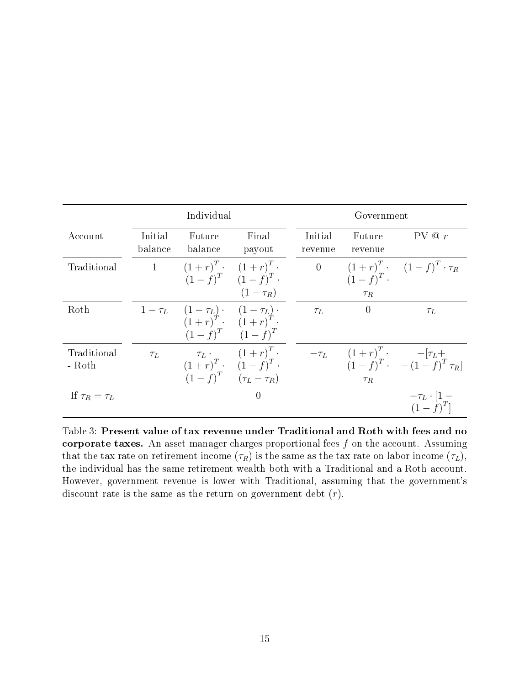|                       | Individual         |                                                                                      |                                                                                                               | Government         |                         |                                                                   |  |
|-----------------------|--------------------|--------------------------------------------------------------------------------------|---------------------------------------------------------------------------------------------------------------|--------------------|-------------------------|-------------------------------------------------------------------|--|
| Account               | Initial<br>balance | Future<br>balance                                                                    | Final<br>payout                                                                                               | Initial<br>revenue | Future<br>revenue       | PV @ r                                                            |  |
| Traditional           | $1 \qquad \qquad$  | $(1+r)^{T}$ $(1+r)^{T}$ .                                                            | $(1-f)^T$ $(1-f)^T$ .<br>$(1-\tau_R)$                                                                         | $\overline{0}$     | $(1-f)^T$ .<br>$\tau_R$ | $(1+r)^{T}$ $(1-f)^{T}$ $\cdot \tau_R$                            |  |
| Roth                  |                    | 1- $\tau_L$ $(1 - \tau_L)$ $(1 - \tau_L)$ $(1 - \tau_L)$ $(1 + r)^T$ . $(1 + r)^T$ . | $(1-f)^T$ $(1-f)^T$                                                                                           | $\tau_L$           | $\theta$                | $\tau_L$                                                          |  |
| Traditional<br>- Roth | $\tau_L$           |                                                                                      | $\tau_L \cdot \frac{(1+r)^T}{(1+r)^T} \cdot \frac{(1+r)^T}{(1-f)^T}$ .<br>$(1-f)^{T}$ $(\tau_{L} - \tau_{R})$ |                    | $\tau_R$                | $-\tau_L$ $(1+r)^T$ $-[\tau_L +$<br>$(1-f)^T$ $- (1-f)^T \tau_R]$ |  |
| If $\tau_R = \tau_L$  |                    |                                                                                      | $\overline{0}$                                                                                                |                    |                         | $-\tau_L \cdot [1 -$<br>$(1-f)^T$                                 |  |

Table 3: Present value of tax revenue under Traditional and Roth with fees and no corporate taxes. An asset manager charges proportional fees  $f$  on the account. Assuming that the tax rate on retirement income  $(\tau_R)$  is the same as the tax rate on labor income  $(\tau_L)$ , the individual has the same retirement wealth both with a Traditional and a Roth account. However, government revenue is lower with Traditional, assuming that the government's discount rate is the same as the return on government debt  $(r)$ .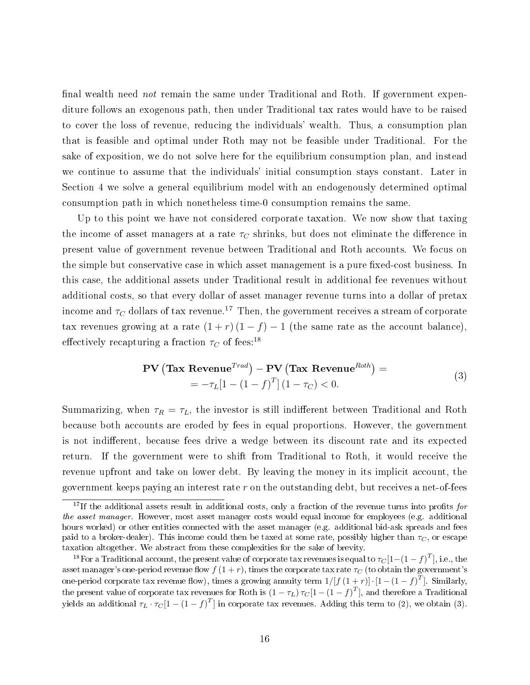final wealth need *not* remain the same under Traditional and Roth. If government expenditure follows an exogenous path, then under Traditional tax rates would have to be raised to cover the loss of revenue, reducing the individuals' wealth. Thus, a consumption plan that is feasible and optimal under Roth may not be feasible under Traditional. For the sake of exposition, we do not solve here for the equilibrium consumption plan, and instead we continue to assume that the individuals' initial consumption stays constant. Later in Section 4 we solve a general equilibrium model with an endogenously determined optimal consumption path in which nonetheless time-0 consumption remains the same.

Up to this point we have not considered corporate taxation. We now show that taxing the income of asset managers at a rate  $\tau_C$  shrinks, but does not eliminate the difference in present value of government revenue between Traditional and Roth accounts. We focus on the simple but conservative case in which asset management is a pure fixed-cost business. In this case, the additional assets under Traditional result in additional fee revenues without additional costs, so that every dollar of asset manager revenue turns into a dollar of pretax income and  $\tau_C$  dollars of tax revenue.<sup>17</sup> Then, the government receives a stream of corporate tax revenues growing at a rate  $(1 + r)(1 - f) - 1$  (the same rate as the account balance), effectively recapturing a fraction  $\tau_C$  of fees:<sup>18</sup>

$$
\mathbf{PV}\left(\mathbf{Tax}\ \mathbf{Revenue}^{Trad}\right) - \mathbf{PV}\left(\mathbf{Tax}\ \mathbf{Revenue}^{Roth}\right) = \\ = -\tau_L[1 - (1 - f)^T](1 - \tau_C) < 0. \tag{3}
$$

Summarizing, when  $\tau_R = \tau_L$ , the investor is still indifferent between Traditional and Roth because both accounts are eroded by fees in equal proportions. However, the government is not indifferent, because fees drive a wedge between its discount rate and its expected return. If the government were to shift from Traditional to Roth, it would receive the revenue upfront and take on lower debt. By leaving the money in its implicit account, the government keeps paying an interest rate  $r$  on the outstanding debt, but receives a net-of-fees

<sup>&</sup>lt;sup>17</sup>If the additional assets result in additional costs, only a fraction of the revenue turns into profits for the asset manager. However, most asset manager costs would equal income for employees (e.g. additional hours worked) or other entities connected with the asset manager (e.g. additional bid-ask spreads and fees paid to a broker-dealer). This income could then be taxed at some rate, possibly higher than  $\tau_C$ , or escape taxation altogether. We abstract from these complexities for the sake of brevity.

<sup>&</sup>lt;sup>18</sup>For a Traditional account, the present value of corporate tax revenues is equal to  $\tau_C{[1-(1-f)^T]}$ , i.e., the asset manager's one-period revenue flow  $f(1 + r)$ , times the corporate tax rate  $\tau_C$  (to obtain the government's one-period corporate tax revenue flow), times a growing annuity term  $1/[f\left(1+r\right)]\cdot\left[1-\left(1-f\right)^{T}\right]$ . Similarly, the present value of corporate tax revenues for Roth is  $(1-\tau_L)\,\tau_C [1-{(1-f)}^T],$  and therefore a Traditional yields an additional  $\tau_L \cdot \tau_C [1-(1-f)^T]$  in corporate tax revenues. Adding this term to (2), we obtain (3).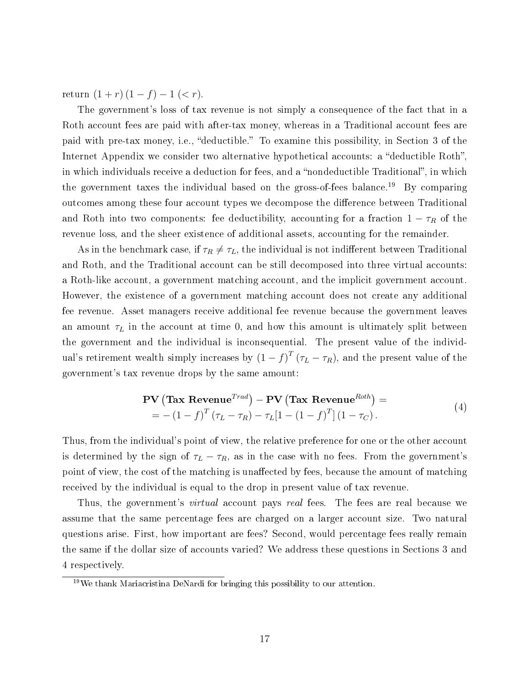return  $(1 + r)(1 - f) - 1 \leq r$ .

The government's loss of tax revenue is not simply a consequence of the fact that in a Roth account fees are paid with after-tax money, whereas in a Traditional account fees are paid with pre-tax money, i.e., "deductible." To examine this possibility, in Section 3 of the Internet Appendix we consider two alternative hypothetical accounts: a "deductible Roth", in which individuals receive a deduction for fees, and a "nondeductible Traditional", in which the government taxes the individual based on the gross-of-fees balance.<sup>19</sup> By comparing outcomes among these four account types we decompose the difference between Traditional and Roth into two components: fee deductibility, accounting for a fraction  $1 - \tau_R$  of the revenue loss, and the sheer existence of additional assets, accounting for the remainder.

As in the benchmark case, if  $\tau_R \neq \tau_L$ , the individual is not indifferent between Traditional and Roth, and the Traditional account can be still decomposed into three virtual accounts: a Roth-like account, a government matching account, and the implicit government account. However, the existence of a government matching account does not create any additional fee revenue. Asset managers receive additional fee revenue because the government leaves an amount  $\tau_L$  in the account at time 0, and how this amount is ultimately split between the government and the individual is inconsequential. The present value of the individual's retirement wealth simply increases by  $(1-f)^T(\tau_L-\tau_R)$ , and the present value of the government's tax revenue drops by the same amount:

$$
\mathbf{PV}\left(\mathbf{Tax}\ \mathbf{Revenue}^{Trad}\right) - \mathbf{PV}\left(\mathbf{Tax}\ \mathbf{Revenue}^{Roth}\right) =
$$
  
= -\left(1 - f\right)^{T}\left(\tau\_{L} - \tau\_{R}\right) - \tau\_{L}\left[1 - \left(1 - f\right)^{T}\right]\left(1 - \tau\_{C}\right). (4)

Thus, from the individual's point of view, the relative preference for one or the other account is determined by the sign of  $\tau_L - \tau_R$ , as in the case with no fees. From the government's point of view, the cost of the matching is unaffected by fees, because the amount of matching received by the individual is equal to the drop in present value of tax revenue.

Thus, the government's *virtual* account pays real fees. The fees are real because we assume that the same percentage fees are charged on a larger account size. Two natural questions arise. First, how important are fees? Second, would percentage fees really remain the same if the dollar size of accounts varied? We address these questions in Sections 3 and 4 respectively.

 $19\,\text{We thank Mariacristina DeNardi for bringing this possibility to our attention.}$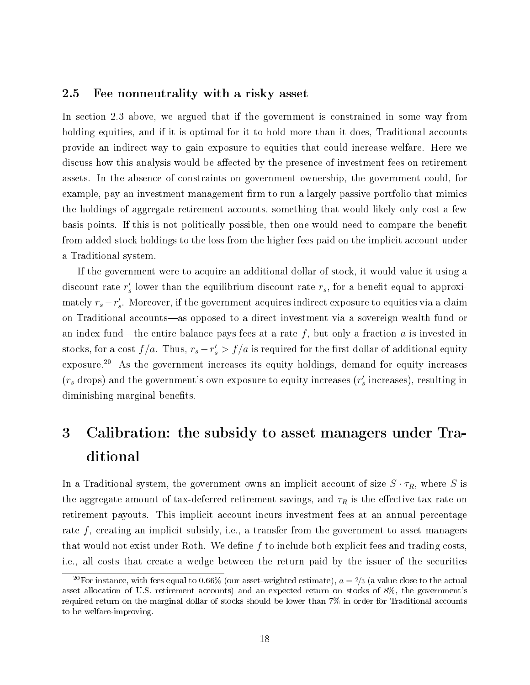### 2.5 Fee nonneutrality with a risky asset

In section 2.3 above, we argued that if the government is constrained in some way from holding equities, and if it is optimal for it to hold more than it does, Traditional accounts provide an indirect way to gain exposure to equities that could increase welfare. Here we discuss how this analysis would be affected by the presence of investment fees on retirement assets. In the absence of constraints on government ownership, the government could, for example, pay an investment management firm to run a largely passive portfolio that mimics the holdings of aggregate retirement accounts, something that would likely only cost a few basis points. If this is not politically possible, then one would need to compare the benefit from added stock holdings to the loss from the higher fees paid on the implicit account under a Traditional system.

If the government were to acquire an additional dollar of stock, it would value it using a discount rate  $r'_{s}$  lower than the equilibrium discount rate  $r_{s}$ , for a benefit equal to approximately  $r_s - r'_s$ . Moreover, if the government acquires indirect exposure to equities via a claim on Traditional accounts—as opposed to a direct investment via a sovereign wealth fund or an index fund—the entire balance pays fees at a rate f, but only a fraction a is invested in stocks, for a cost  $f/a$ . Thus,  $r_s - r'_s > f/a$  is required for the first dollar of additional equity exposure.<sup>20</sup> As the government increases its equity holdings, demand for equity increases  $(r_s$  drops) and the government's own exposure to equity increases  $(r'_s$  increases), resulting in diminishing marginal benefits.

## 3 Calibration: the subsidy to asset managers under Traditional

In a Traditional system, the government owns an implicit account of size  $S \cdot \tau_R$ , where S is the aggregate amount of tax-deferred retirement savings, and  $\tau_R$  is the effective tax rate on retirement payouts. This implicit account incurs investment fees at an annual percentage rate  $f$ , creating an implicit subsidy, i.e., a transfer from the government to asset managers that would not exist under Roth. We define  $f$  to include both explicit fees and trading costs, i.e., all costs that create a wedge between the return paid by the issuer of the securities

<sup>&</sup>lt;sup>20</sup>For instance, with fees equal to 0.66% (our asset-weighted estimate),  $a = \frac{2}{3}$  (a value close to the actual asset allocation of U.S. retirement accounts) and an expected return on stocks of 8%, the government's required return on the marginal dollar of stocks should be lower than 7% in order for Traditional accounts to be welfare-improving.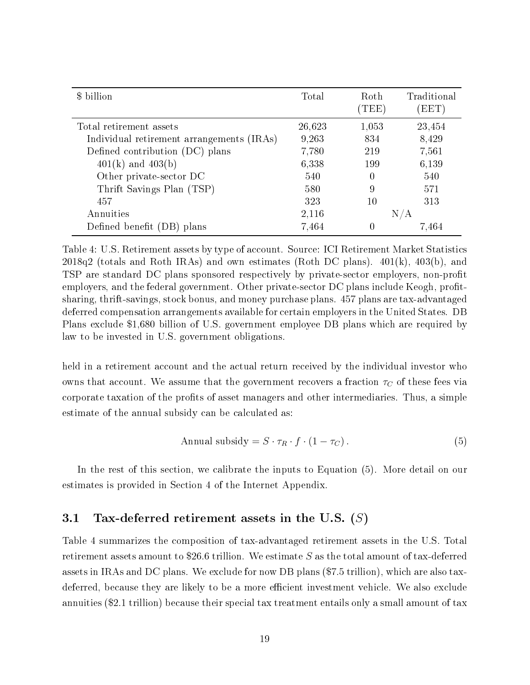| \$ billion                                | Total  | Roth<br>$(\mathrm{TEE})$ | Traditional<br>(EET) |
|-------------------------------------------|--------|--------------------------|----------------------|
| Total retirement assets                   | 26,623 | 1,053                    | 23,454               |
| Individual retirement arrangements (IRAs) | 9,263  | 834                      | 8,429                |
| Defined contribution (DC) plans           | 7,780  | 219                      | 7,561                |
| $401(k)$ and $403(b)$                     | 6,338  | 199                      | 6,139                |
| Other private-sector DC                   | 540    | $\left( \right)$         | 540                  |
| Thrift Savings Plan (TSP)                 | 580    | 9                        | 571                  |
| 457                                       | 323    | 10                       | 313                  |
| Annuities                                 | 2,116  |                          | N/A                  |
| Defined benefit (DB<br>plans              | 7,464  |                          | 7.464                |

Table 4: U.S. Retirement assets by type of account. Source: ICI Retirement Market Statistics  $2018q2$  (totals and Roth IRAs) and own estimates (Roth DC plans).  $401(k)$ ,  $403(b)$ , and TSP are standard DC plans sponsored respectively by private-sector employers, non-profit employers, and the federal government. Other private-sector DC plans include Keogh, profitsharing, thrift-savings, stock bonus, and money purchase plans. 457 plans are tax-advantaged deferred compensation arrangements available for certain employers in the United States. DB Plans exclude \$1,680 billion of U.S. government employee DB plans which are required by law to be invested in U.S. government obligations.

held in a retirement account and the actual return received by the individual investor who owns that account. We assume that the government recovers a fraction  $\tau_C$  of these fees via corporate taxation of the profits of asset managers and other intermediaries. Thus, a simple estimate of the annual subsidy can be calculated as:

$$
Annual \text{ subsidy} = S \cdot \tau_R \cdot f \cdot (1 - \tau_C). \tag{5}
$$

In the rest of this section, we calibrate the inputs to Equation (5). More detail on our estimates is provided in Section 4 of the Internet Appendix.

### 3.1 Tax-deferred retirement assets in the U.S.  $(S)$

Table 4 summarizes the composition of tax-advantaged retirement assets in the U.S. Total retirement assets amount to \$26.6 trillion. We estimate S as the total amount of tax-deferred assets in IRAs and DC plans. We exclude for now DB plans (\$7.5 trillion), which are also taxdeferred, because they are likely to be a more efficient investment vehicle. We also exclude annuities (\$2.1 trillion) because their special tax treatment entails only a small amount of tax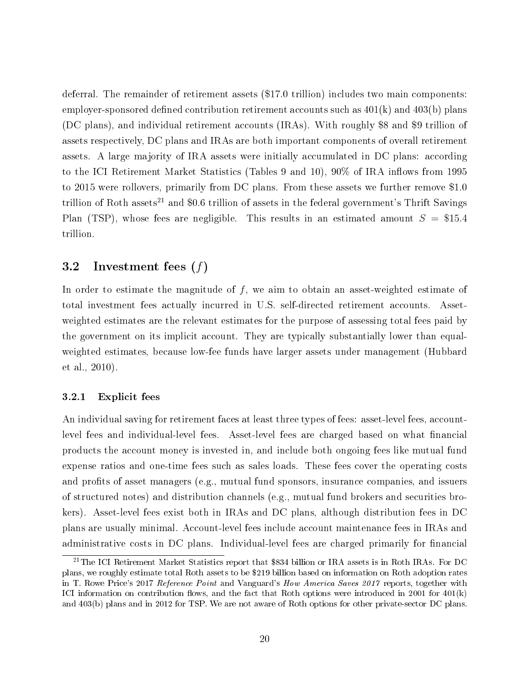deferral. The remainder of retirement assets (\$17.0 trillion) includes two main components: employer-sponsored defined contribution retirement accounts such as  $401(k)$  and  $403(b)$  plans (DC plans), and individual retirement accounts (IRAs). With roughly \$8 and \$9 trillion of assets respectively, DC plans and IRAs are both important components of overall retirement assets. A large majority of IRA assets were initially accumulated in DC plans: according to the ICI Retirement Market Statistics (Tables 9 and 10),  $90\%$  of IRA inflows from 1995 to 2015 were rollovers, primarily from DC plans. From these assets we further remove \$1.0 trillion of Roth assets<sup>21</sup> and \$0.6 trillion of assets in the federal government's Thrift Savings Plan (TSP), whose fees are negligible. This results in an estimated amount  $S = $15.4$ trillion.

### 3.2 Investment fees (f)

In order to estimate the magnitude of  $f$ , we aim to obtain an asset-weighted estimate of total investment fees actually incurred in U.S. self-directed retirement accounts. Assetweighted estimates are the relevant estimates for the purpose of assessing total fees paid by the government on its implicit account. They are typically substantially lower than equalweighted estimates, because low-fee funds have larger assets under management (Hubbard et al., 2010).

### 3.2.1 Explicit fees

An individual saving for retirement faces at least three types of fees: asset-level fees, accountlevel fees and individual-level fees. Asset-level fees are charged based on what financial products the account money is invested in, and include both ongoing fees like mutual fund expense ratios and one-time fees such as sales loads. These fees cover the operating costs and profits of asset managers (e.g., mutual fund sponsors, insurance companies, and issuers of structured notes) and distribution channels (e.g., mutual fund brokers and securities brokers). Asset-level fees exist both in IRAs and DC plans, although distribution fees in DC plans are usually minimal. Account-level fees include account maintenance fees in IRAs and administrative costs in DC plans. Individual-level fees are charged primarily for financial

<sup>21</sup>The ICI Retirement Market Statistics report that \$834 billion or IRA assets is in Roth IRAs. For DC plans, we roughly estimate total Roth assets to be \$219 billion based on information on Roth adoption rates in T. Rowe Price's 2017 Reference Point and Vanguard's How America Saves 2017 reports, together with ICI information on contribution flows, and the fact that Roth options were introduced in 2001 for  $401(k)$ and 403(b) plans and in 2012 for TSP. We are not aware of Roth options for other private-sector DC plans.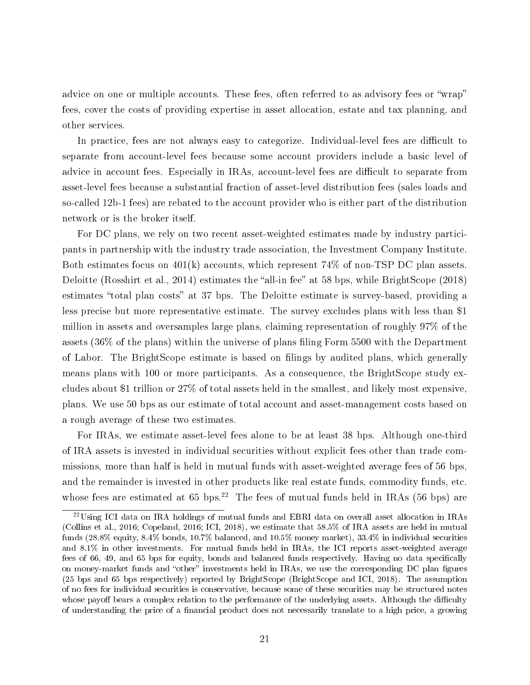advice on one or multiple accounts. These fees, often referred to as advisory fees or "wrap" fees, cover the costs of providing expertise in asset allocation, estate and tax planning, and other services.

In practice, fees are not always easy to categorize. Individual-level fees are difficult to separate from account-level fees because some account providers include a basic level of advice in account fees. Especially in IRAs, account-level fees are difficult to separate from asset-level fees because a substantial fraction of asset-level distribution fees (sales loads and so-called 12b-1 fees) are rebated to the account provider who is either part of the distribution network or is the broker itself.

For DC plans, we rely on two recent asset-weighted estimates made by industry participants in partnership with the industry trade association, the Investment Company Institute. Both estimates focus on  $401(k)$  accounts, which represent  $74\%$  of non-TSP DC plan assets. Deloitte (Rosshirt et al., 2014) estimates the "all-in fee" at 58 bps, while BrightScope  $(2018)$ estimates "total plan costs" at 37 bps. The Deloitte estimate is survey-based, providing a less precise but more representative estimate. The survey excludes plans with less than \$1 million in assets and oversamples large plans, claiming representation of roughly 97% of the assets  $(36\% \text{ of the plans})$  within the universe of plans filing Form 5500 with the Department of Labor. The BrightScope estimate is based on lings by audited plans, which generally means plans with 100 or more participants. As a consequence, the BrightScope study excludes about \$1 trillion or 27% of total assets held in the smallest, and likely most expensive, plans. We use 50 bps as our estimate of total account and asset-management costs based on a rough average of these two estimates.

For IRAs, we estimate asset-level fees alone to be at least 38 bps. Although one-third of IRA assets is invested in individual securities without explicit fees other than trade commissions, more than half is held in mutual funds with asset-weighted average fees of 56 bps, and the remainder is invested in other products like real estate funds, commodity funds, etc. whose fees are estimated at 65 bps.<sup>22</sup> The fees of mutual funds held in IRAs (56 bps) are

<sup>22</sup>Using ICI data on IRA holdings of mutual funds and EBRI data on overall asset allocation in IRAs (Collins et al., 2016; Copeland, 2016; ICI, 2018), we estimate that 58.5% of IRA assets are held in mutual funds (28.8% equity, 8.4% bonds, 10.7% balanced, and 10.5% money market), 33.4% in individual securities and 8.1% in other investments. For mutual funds held in IRAs, the ICI reports asset-weighted average fees of 66, 49, and 65 bps for equity, bonds and balanced funds respectively. Having no data specifically on money-market funds and "other" investments held in IRAs, we use the corresponding DC plan figures (25 bps and 65 bps respectively) reported by BrightScope (BrightScope and ICI, 2018). The assumption of no fees for individual securities is conservative, because some of these securities may be structured notes whose payoff bears a complex relation to the performance of the underlying assets. Although the difficulty of understanding the price of a financial product does not necessarily translate to a high price, a growing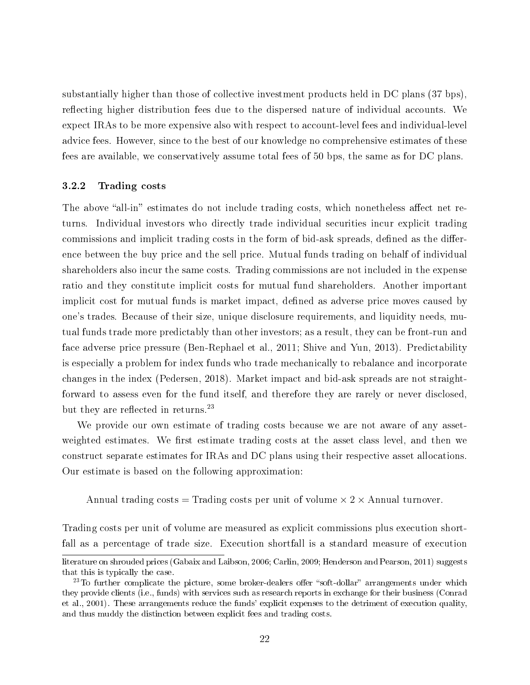substantially higher than those of collective investment products held in DC plans (37 bps), reflecting higher distribution fees due to the dispersed nature of individual accounts. We expect IRAs to be more expensive also with respect to account-level fees and individual-level advice fees. However, since to the best of our knowledge no comprehensive estimates of these fees are available, we conservatively assume total fees of 50 bps, the same as for DC plans.

### 3.2.2 Trading costs

The above "all-in" estimates do not include trading costs, which nonetheless affect net returns. Individual investors who directly trade individual securities incur explicit trading commissions and implicit trading costs in the form of bid-ask spreads, defined as the difference between the buy price and the sell price. Mutual funds trading on behalf of individual shareholders also incur the same costs. Trading commissions are not included in the expense ratio and they constitute implicit costs for mutual fund shareholders. Another important implicit cost for mutual funds is market impact, defined as adverse price moves caused by one's trades. Because of their size, unique disclosure requirements, and liquidity needs, mutual funds trade more predictably than other investors; as a result, they can be front-run and face adverse price pressure (Ben-Rephael et al., 2011; Shive and Yun, 2013). Predictability is especially a problem for index funds who trade mechanically to rebalance and incorporate changes in the index (Pedersen, 2018). Market impact and bid-ask spreads are not straightforward to assess even for the fund itself, and therefore they are rarely or never disclosed, but they are reflected in returns.<sup>23</sup>

We provide our own estimate of trading costs because we are not aware of any assetweighted estimates. We first estimate trading costs at the asset class level, and then we construct separate estimates for IRAs and DC plans using their respective asset allocations. Our estimate is based on the following approximation:

Annual trading costs = Trading costs per unit of volume  $\times$  2  $\times$  Annual turnover.

Trading costs per unit of volume are measured as explicit commissions plus execution shortfall as a percentage of trade size. Execution shortfall is a standard measure of execution

literature on shrouded prices (Gabaix and Laibson, 2006; Carlin, 2009; Henderson and Pearson, 2011) suggests that this is typically the case.

 $23$ To further complicate the picture, some broker-dealers offer "soft-dollar" arrangements under which they provide clients (i.e., funds) with services such as research reports in exchange for their business (Conrad et al., 2001). These arrangements reduce the funds' explicit expenses to the detriment of execution quality, and thus muddy the distinction between explicit fees and trading costs.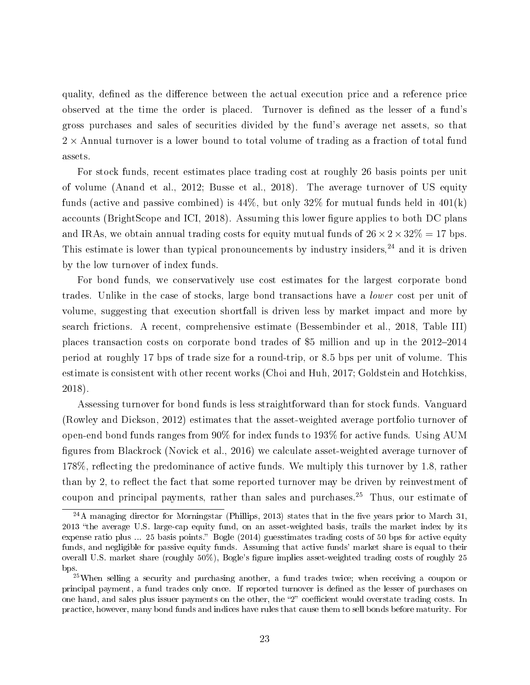quality, defined as the difference between the actual execution price and a reference price observed at the time the order is placed. Turnover is defined as the lesser of a fund's gross purchases and sales of securities divided by the fund's average net assets, so that  $2 \times$  Annual turnover is a lower bound to total volume of trading as a fraction of total fund assets.

For stock funds, recent estimates place trading cost at roughly 26 basis points per unit of volume (Anand et al., 2012; Busse et al., 2018). The average turnover of US equity funds (active and passive combined) is 44%, but only 32% for mutual funds held in 401(k) accounts (BrightScope and ICI, 2018). Assuming this lower figure applies to both DC plans and IRAs, we obtain annual trading costs for equity mutual funds of  $26 \times 2 \times 32\% = 17$  bps. This estimate is lower than typical pronouncements by industry insiders, $24$  and it is driven by the low turnover of index funds.

For bond funds, we conservatively use cost estimates for the largest corporate bond trades. Unlike in the case of stocks, large bond transactions have a lower cost per unit of volume, suggesting that execution shortfall is driven less by market impact and more by search frictions. A recent, comprehensive estimate (Bessembinder et al., 2018, Table III) places transaction costs on corporate bond trades of \$5 million and up in the  $2012-2014$ period at roughly 17 bps of trade size for a round-trip, or 8.5 bps per unit of volume. This estimate is consistent with other recent works (Choi and Huh, 2017; Goldstein and Hotchkiss, 2018).

Assessing turnover for bond funds is less straightforward than for stock funds. Vanguard (Rowley and Dickson, 2012) estimates that the asset-weighted average portfolio turnover of open-end bond funds ranges from 90% for index funds to 193% for active funds. Using AUM figures from Blackrock (Novick et al., 2016) we calculate asset-weighted average turnover of 178%, reflecting the predominance of active funds. We multiply this turnover by 1.8, rather than by 2, to reflect the fact that some reported turnover may be driven by reinvestment of coupon and principal payments, rather than sales and purchases.<sup>25</sup> Thus, our estimate of

 $^{24}$ A managing director for Morningstar (Phillips, 2013) states that in the five years prior to March 31. 2013 the average U.S. large-cap equity fund, on an asset-weighted basis, trails the market index by its expense ratio plus  $\ldots$  25 basis points." Bogle (2014) guesstimates trading costs of 50 bps for active equity funds, and negligible for passive equity funds. Assuming that active funds' market share is equal to their overall U.S. market share (roughly  $50\%$ ), Bogle's figure implies asset-weighted trading costs of roughly 25 bps.

<sup>&</sup>lt;sup>25</sup>When selling a security and purchasing another, a fund trades twice; when receiving a coupon or principal payment, a fund trades only once. If reported turnover is dened as the lesser of purchases on one hand, and sales plus issuer payments on the other, the "2" coefficient would overstate trading costs. In practice, however, many bond funds and indices have rules that cause them to sell bonds before maturity. For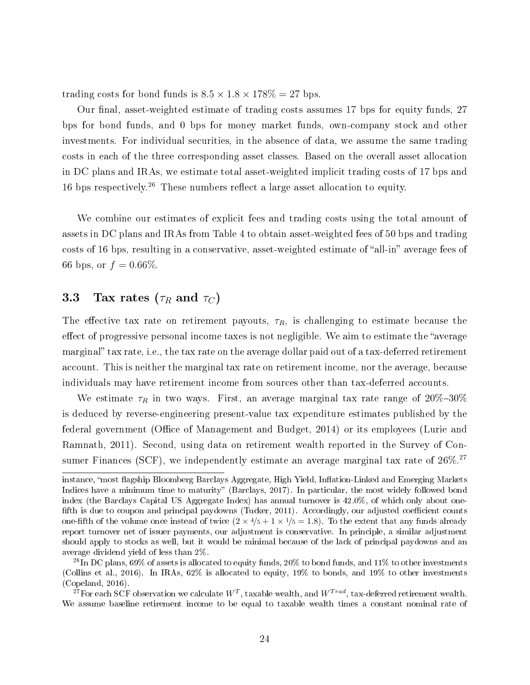trading costs for bond funds is  $8.5 \times 1.8 \times 178\% = 27$  bps.

Our final, asset-weighted estimate of trading costs assumes 17 bps for equity funds, 27 bps for bond funds, and 0 bps for money market funds, own-company stock and other investments. For individual securities, in the absence of data, we assume the same trading costs in each of the three corresponding asset classes. Based on the overall asset allocation in DC plans and IRAs, we estimate total asset-weighted implicit trading costs of 17 bps and 16 bps respectively.<sup>26</sup> These numbers reflect a large asset allocation to equity.

We combine our estimates of explicit fees and trading costs using the total amount of assets in DC plans and IRAs from Table 4 to obtain asset-weighted fees of 50 bps and trading costs of 16 bps, resulting in a conservative, asset-weighted estimate of "all-in" average fees of 66 bps, or  $f = 0.66\%$ .

### 3.3 Tax rates ( $\tau_R$  and  $\tau_C$ )

The effective tax rate on retirement payouts,  $\tau_R$ , is challenging to estimate because the effect of progressive personal income taxes is not negligible. We aim to estimate the "average" marginal" tax rate, i.e., the tax rate on the average dollar paid out of a tax-deferred retirement account. This is neither the marginal tax rate on retirement income, nor the average, because individuals may have retirement income from sources other than tax-deferred accounts.

We estimate  $\tau_R$  in two ways. First, an average marginal tax rate range of  $20\% - 30\%$ is deduced by reverse-engineering present-value tax expenditure estimates published by the federal government (Office of Management and Budget, 2014) or its employees (Lurie and Ramnath, 2011). Second, using data on retirement wealth reported in the Survey of Consumer Finances (SCF), we independently estimate an average marginal tax rate of  $26\%.27$ 

instance, "most flagship Bloomberg Barclays Aggregate, High Yield, Inflation-Linked and Emerging Markets Indices have a minimum time to maturity" (Barclays, 2017). In particular, the most widely followed bond index (the Barclays Capital US Aggregate Index) has annual turnover is 42.0%, of which only about one fifth is due to coupon and principal paydowns (Tucker, 2011). Accordingly, our adjusted coefficient counts one-fifth of the volume once instead of twice  $(2 \times 4/5 + 1 \times 1/5 = 1.8)$ . To the extent that any funds already report turnover net of issuer payments, our adjustment is conservative. In principle, a similar adjustment should apply to stocks as well, but it would be minimal because of the lack of principal paydowns and an average dividend yield of less than 2%.

<sup>&</sup>lt;sup>26</sup>In DC plans, 69% of assets is allocated to equity funds,  $20\%$  to bond funds, and 11% to other investments (Collins et al., 2016). In IRAs, 62% is allocated to equity, 19% to bonds, and 19% to other investments (Copeland, 2016).

 $^{27}$ For each SCF observation we calculate  $W^T$ , taxable wealth, and  $W^{Trad}$ , tax-deferred retirement wealth. We assume baseline retirement income to be equal to taxable wealth times a constant nominal rate of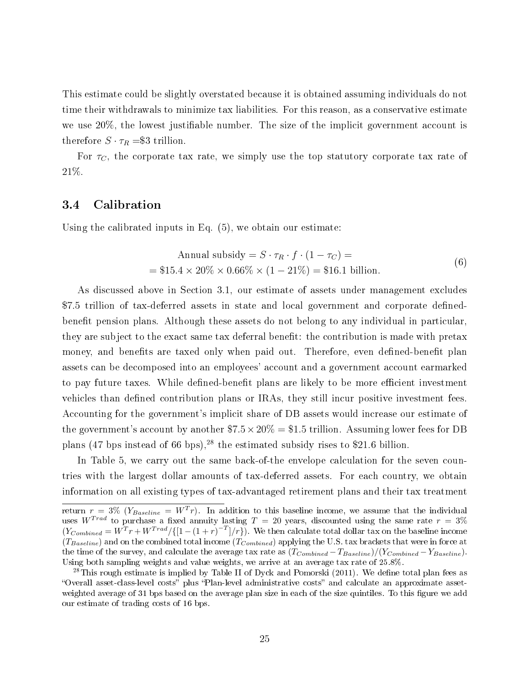This estimate could be slightly overstated because it is obtained assuming individuals do not time their withdrawals to minimize tax liabilities. For this reason, as a conservative estimate we use  $20\%$ , the lowest justifiable number. The size of the implicit government account is therefore  $S \cdot \tau_R = \$3$  trillion.

For  $\tau_C$ , the corporate tax rate, we simply use the top statutory corporate tax rate of 21%.

### 3.4 Calibration

Using the calibrated inputs in Eq. (5), we obtain our estimate:

$$
\text{Annual subsidy} = S \cdot \tau_R \cdot f \cdot (1 - \tau_C) =
$$
\n
$$
= \$15.4 \times 20\% \times 0.66\% \times (1 - 21\%) = \$16.1 \text{ billion.}
$$
\n
$$
\tag{6}
$$

As discussed above in Section 3.1, our estimate of assets under management excludes \$7.5 trillion of tax-deferred assets in state and local government and corporate definedbenefit pension plans. Although these assets do not belong to any individual in particular, they are subject to the exact same tax deferral benet: the contribution is made with pretax money, and benefits are taxed only when paid out. Therefore, even defined-benefit plan assets can be decomposed into an employees' account and a government account earmarked to pay future taxes. While defined-benefit plans are likely to be more efficient investment vehicles than defined contribution plans or IRAs, they still incur positive investment fees. Accounting for the government's implicit share of DB assets would increase our estimate of the government's account by another  $$7.5 \times 20\% = $1.5$  trillion. Assuming lower fees for DB plans (47 bps instead of 66 bps),<sup>28</sup> the estimated subsidy rises to \$21.6 billion.

In Table 5, we carry out the same back-of-the envelope calculation for the seven countries with the largest dollar amounts of tax-deferred assets. For each country, we obtain information on all existing types of tax-advantaged retirement plans and their tax treatment

return  $r = 3\%$  ( $Y_{Baseline} = W^T r$ ). In addition to this baseline income, we assume that the individual uses  $W^{Trad}$  to purchase a fixed annuity lasting  $T = 20$  years, discounted using the same rate  $r = 3\%$  $(Y_{Combined} = W^{T}r + W^{Trad}/\{[1-(1+r)^{-T}]/r\})$ . We then calculate total dollar tax on the baseline income  $(T_{Baseline})$  and on the combined total income  $(T_{Combined})$  applying the U.S. tax brackets that were in force at the time of the survey, and calculate the average tax rate as  $(T_{Combined} - T_{Baseline})/(Y_{Combined} - Y_{Baseline})$ . Using both sampling weights and value weights, we arrive at an average tax rate of 25.8%.

 $^{28}$ This rough estimate is implied by Table II of Dyck and Pomorski (2011). We define total plan fees as "Overall asset-class-level costs" plus "Plan-level administrative costs" and calculate an approximate assetweighted average of 31 bps based on the average plan size in each of the size quintiles. To this figure we add our estimate of trading costs of 16 bps.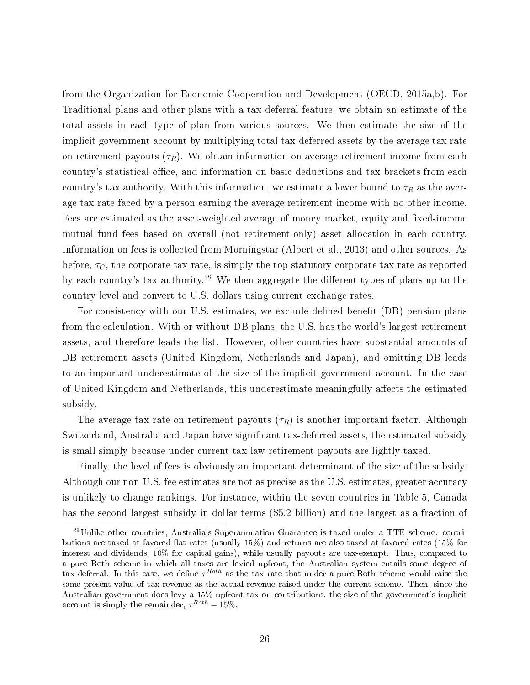from the Organization for Economic Cooperation and Development (OECD, 2015a,b). For Traditional plans and other plans with a tax-deferral feature, we obtain an estimate of the total assets in each type of plan from various sources. We then estimate the size of the implicit government account by multiplying total tax-deferred assets by the average tax rate on retirement payouts  $(\tau_R)$ . We obtain information on average retirement income from each country's statistical office, and information on basic deductions and tax brackets from each country's tax authority. With this information, we estimate a lower bound to  $\tau_R$  as the average tax rate faced by a person earning the average retirement income with no other income. Fees are estimated as the asset-weighted average of money market, equity and fixed-income mutual fund fees based on overall (not retirement-only) asset allocation in each country. Information on fees is collected from Morningstar (Alpert et al., 2013) and other sources. As before,  $\tau_C$ , the corporate tax rate, is simply the top statutory corporate tax rate as reported by each country's tax authority.<sup>29</sup> We then aggregate the different types of plans up to the country level and convert to U.S. dollars using current exchange rates.

For consistency with our U.S. estimates, we exclude defined benefit (DB) pension plans from the calculation. With or without DB plans, the U.S. has the world's largest retirement assets, and therefore leads the list. However, other countries have substantial amounts of DB retirement assets (United Kingdom, Netherlands and Japan), and omitting DB leads to an important underestimate of the size of the implicit government account. In the case of United Kingdom and Netherlands, this underestimate meaningfully affects the estimated subsidy.

The average tax rate on retirement payouts  $(\tau_R)$  is another important factor. Although Switzerland, Australia and Japan have significant tax-deferred assets, the estimated subsidy is small simply because under current tax law retirement payouts are lightly taxed.

Finally, the level of fees is obviously an important determinant of the size of the subsidy. Although our non-U.S. fee estimates are not as precise as the U.S. estimates, greater accuracy is unlikely to change rankings. For instance, within the seven countries in Table 5, Canada has the second-largest subsidy in dollar terms (\$5.2 billion) and the largest as a fraction of

<sup>29</sup>Unlike other countries, Australia's Superannuation Guarantee is taxed under a TTE scheme: contributions are taxed at favored flat rates (usually  $15\%$ ) and returns are also taxed at favored rates ( $15\%$  for interest and dividends, 10% for capital gains), while usually payouts are tax-exempt. Thus, compared to a pure Roth scheme in which all taxes are levied upfront, the Australian system entails some degree of tax deferral. In this case, we define  $\tau^{Roth}$  as the tax rate that under a pure Roth scheme would raise the same present value of tax revenue as the actual revenue raised under the current scheme. Then, since the Australian government does levy a 15% upfront tax on contributions, the size of the government's implicit account is simply the remainder,  $\tau^{Roth} - 15\%$ .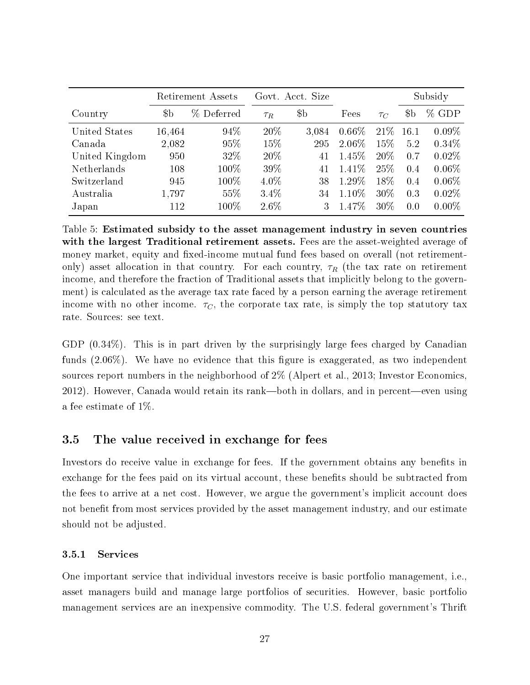|                |        | Retirement Assets |          | Govt. Acct. Size |          |          |             | Subsidy  |  |
|----------------|--------|-------------------|----------|------------------|----------|----------|-------------|----------|--|
| Country        | $\$b$  | % Deferred        | $\tau_R$ | \$b\$            | Fees     | $\tau_C$ | $\${\rm b}$ | $%$ GDP  |  |
| United States  | 16,464 | 94\%              | 20\%     | 3.084            | $0.66\%$ | 21\%     | 16.1        | $0.09\%$ |  |
| Canada         | 2,082  | 95%               | 15%      | 295              | $2.06\%$ | 15%      | 5.2         | 0.34%    |  |
| United Kingdom | 950    | 32\%              | 20\%     | 41               | $1.45\%$ | 20\%     | 0.7         | $0.02\%$ |  |
| Netherlands    | 108    | $100\%$           | 39%      | 41               | $1.41\%$ | 25%      | 0.4         | $0.06\%$ |  |
| Switzerland    | 945    | 100%              | $4.0\%$  | 38               | 1.29%    | 18%      | 0.4         | $0.06\%$ |  |
| Australia      | 1,797  | 55%               | $3.4\%$  | 34               | $1.10\%$ | $30\%$   | 0.3         | 0.02%    |  |
| Japan          | 112    | 100%              | $2.6\%$  |                  | $1.47\%$ | 30\%     | 0.0         | $0.00\%$ |  |

Table 5: Estimated subsidy to the asset management industry in seven countries with the largest Traditional retirement assets. Fees are the asset-weighted average of money market, equity and fixed-income mutual fund fees based on overall (not retirementonly) asset allocation in that country. For each country,  $\tau_R$  (the tax rate on retirement income, and therefore the fraction of Traditional assets that implicitly belong to the government) is calculated as the average tax rate faced by a person earning the average retirement income with no other income.  $\tau_C$ , the corporate tax rate, is simply the top statutory tax rate. Sources: see text.

GDP (0.34%). This is in part driven by the surprisingly large fees charged by Canadian funds  $(2.06\%)$ . We have no evidence that this figure is exaggerated, as two independent sources report numbers in the neighborhood of 2% (Alpert et al., 2013; Investor Economics,  $2012$ ). However, Canada would retain its rank—both in dollars, and in percent—even using a fee estimate of 1%.

### 3.5 The value received in exchange for fees

Investors do receive value in exchange for fees. If the government obtains any benefits in exchange for the fees paid on its virtual account, these benefits should be subtracted from the fees to arrive at a net cost. However, we argue the government's implicit account does not benefit from most services provided by the asset management industry, and our estimate should not be adjusted.

### 3.5.1 Services

One important service that individual investors receive is basic portfolio management, i.e., asset managers build and manage large portfolios of securities. However, basic portfolio management services are an inexpensive commodity. The U.S. federal government's Thrift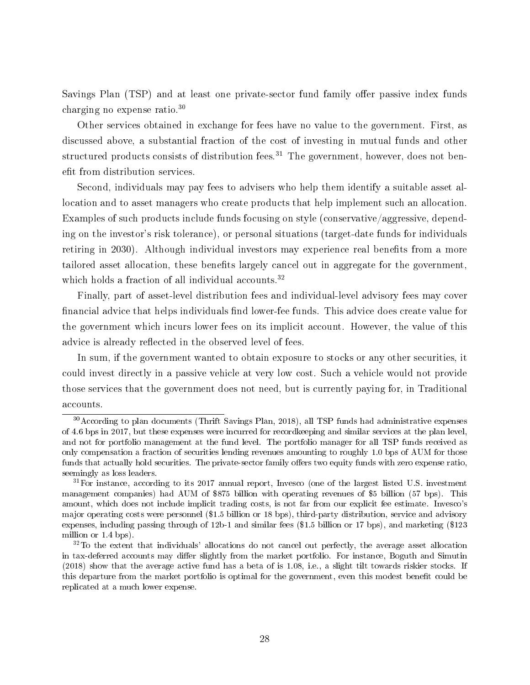Savings Plan (TSP) and at least one private-sector fund family offer passive index funds charging no expense ratio.<sup>30</sup>

Other services obtained in exchange for fees have no value to the government. First, as discussed above, a substantial fraction of the cost of investing in mutual funds and other structured products consists of distribution fees.<sup>31</sup> The government, however, does not benefit from distribution services.

Second, individuals may pay fees to advisers who help them identify a suitable asset allocation and to asset managers who create products that help implement such an allocation. Examples of such products include funds focusing on style (conservative/aggressive, depending on the investor's risk tolerance), or personal situations (target-date funds for individuals retiring in 2030). Although individual investors may experience real benefits from a more tailored asset allocation, these benefits largely cancel out in aggregate for the government. which holds a fraction of all individual accounts.<sup>32</sup>

Finally, part of asset-level distribution fees and individual-level advisory fees may cover financial advice that helps individuals find lower-fee funds. This advice does create value for the government which incurs lower fees on its implicit account. However, the value of this advice is already reflected in the observed level of fees.

In sum, if the government wanted to obtain exposure to stocks or any other securities, it could invest directly in a passive vehicle at very low cost. Such a vehicle would not provide those services that the government does not need, but is currently paying for, in Traditional accounts.

<sup>&</sup>lt;sup>30</sup> According to plan documents (Thrift Savings Plan, 2018), all TSP funds had administrative expenses of 4.6 bps in 2017, but these expenses were incurred for recordkeeping and similar services at the plan level, and not for portfolio management at the fund level. The portfolio manager for all TSP funds received as only compensation a fraction of securities lending revenues amounting to roughly 1.0 bps of AUM for those funds that actually hold securities. The private-sector family offers two equity funds with zero expense ratio. seemingly as loss leaders.

<sup>&</sup>lt;sup>31</sup>For instance, according to its 2017 annual report, Invesco (one of the largest listed U.S. investment management companies) had AUM of \$875 billion with operating revenues of \$5 billion (57 bps). This amount, which does not include implicit trading costs, is not far from our explicit fee estimate. Invesco's major operating costs were personnel (\$1.5 billion or 18 bps), third-party distribution, service and advisory expenses, including passing through of 12b-1 and similar fees (\$1.5 billion or 17 bps), and marketing (\$123 million or 1.4 bps).

<sup>32</sup>To the extent that individuals' allocations do not cancel out perfectly, the average asset allocation in tax-deferred accounts may differ slightly from the market portfolio. For instance, Boguth and Simutin (2018) show that the average active fund has a beta of is 1.08, i.e., a slight tilt towards riskier stocks. If this departure from the market portfolio is optimal for the government, even this modest benefit could be replicated at a much lower expense.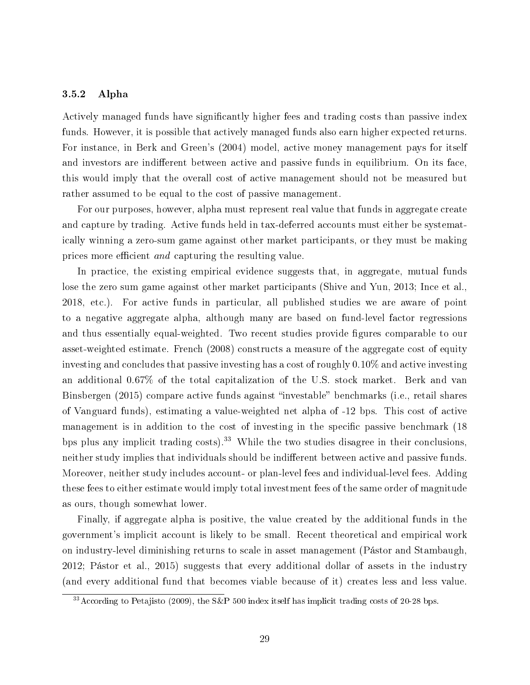### 3.5.2 Alpha

Actively managed funds have significantly higher fees and trading costs than passive index funds. However, it is possible that actively managed funds also earn higher expected returns. For instance, in Berk and Green's (2004) model, active money management pays for itself and investors are indifferent between active and passive funds in equilibrium. On its face, this would imply that the overall cost of active management should not be measured but rather assumed to be equal to the cost of passive management.

For our purposes, however, alpha must represent real value that funds in aggregate create and capture by trading. Active funds held in tax-deferred accounts must either be systematically winning a zero-sum game against other market participants, or they must be making prices more efficient and capturing the resulting value.

In practice, the existing empirical evidence suggests that, in aggregate, mutual funds lose the zero sum game against other market participants (Shive and Yun, 2013; Ince et al., 2018, etc.). For active funds in particular, all published studies we are aware of point to a negative aggregate alpha, although many are based on fund-level factor regressions and thus essentially equal-weighted. Two recent studies provide figures comparable to our asset-weighted estimate. French (2008) constructs a measure of the aggregate cost of equity investing and concludes that passive investing has a cost of roughly 0.10% and active investing an additional 0.67% of the total capitalization of the U.S. stock market. Berk and van Binsbergen (2015) compare active funds against "investable" benchmarks (i.e., retail shares of Vanguard funds), estimating a value-weighted net alpha of -12 bps. This cost of active management is in addition to the cost of investing in the specific passive benchmark (18) bps plus any implicit trading costs).<sup>33</sup> While the two studies disagree in their conclusions. neither study implies that individuals should be indifferent between active and passive funds. Moreover, neither study includes account- or plan-level fees and individual-level fees. Adding these fees to either estimate would imply total investment fees of the same order of magnitude as ours, though somewhat lower.

Finally, if aggregate alpha is positive, the value created by the additional funds in the government's implicit account is likely to be small. Recent theoretical and empirical work on industry-level diminishing returns to scale in asset management (Pástor and Stambaugh, 2012; Pástor et al., 2015) suggests that every additional dollar of assets in the industry (and every additional fund that becomes viable because of it) creates less and less value.

<sup>&</sup>lt;sup>33</sup> According to Petajisto (2009), the S&P 500 index itself has implicit trading costs of 20-28 bps.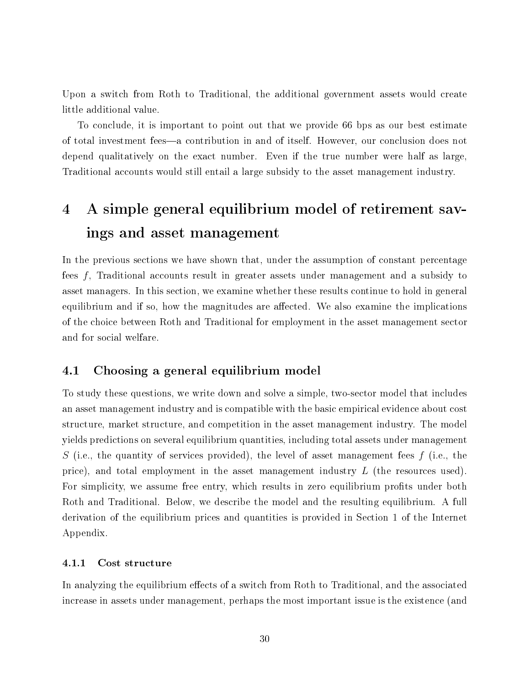Upon a switch from Roth to Traditional, the additional government assets would create little additional value.

To conclude, it is important to point out that we provide 66 bps as our best estimate of total investment fees—a contribution in and of itself. However, our conclusion does not depend qualitatively on the exact number. Even if the true number were half as large, Traditional accounts would still entail a large subsidy to the asset management industry.

## 4 A simple general equilibrium model of retirement savings and asset management

In the previous sections we have shown that, under the assumption of constant percentage fees f, Traditional accounts result in greater assets under management and a subsidy to asset managers. In this section, we examine whether these results continue to hold in general equilibrium and if so, how the magnitudes are affected. We also examine the implications of the choice between Roth and Traditional for employment in the asset management sector and for social welfare.

### 4.1 Choosing a general equilibrium model

To study these questions, we write down and solve a simple, two-sector model that includes an asset management industry and is compatible with the basic empirical evidence about cost structure, market structure, and competition in the asset management industry. The model yields predictions on several equilibrium quantities, including total assets under management S (i.e., the quantity of services provided), the level of asset management fees  $f$  (i.e., the price), and total employment in the asset management industry L (the resources used). For simplicity, we assume free entry, which results in zero equilibrium profits under both Roth and Traditional. Below, we describe the model and the resulting equilibrium. A full derivation of the equilibrium prices and quantities is provided in Section 1 of the Internet Appendix.

### 4.1.1 Cost structure

In analyzing the equilibrium effects of a switch from Roth to Traditional, and the associated increase in assets under management, perhaps the most important issue is the existence (and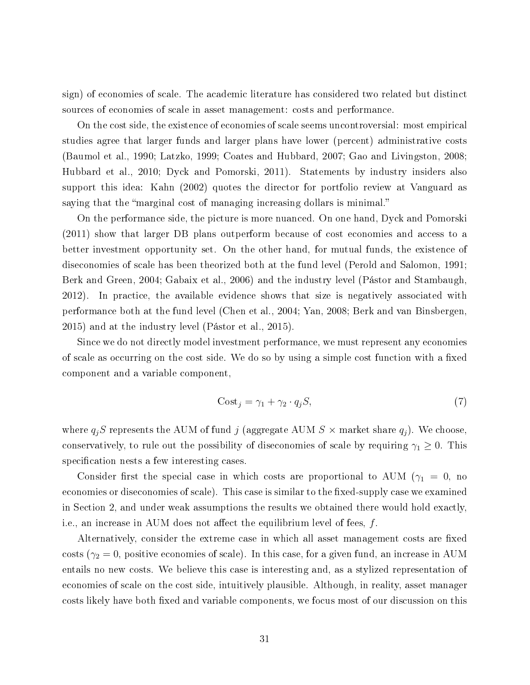sign) of economies of scale. The academic literature has considered two related but distinct sources of economies of scale in asset management: costs and performance.

On the cost side, the existence of economies of scale seems uncontroversial: most empirical studies agree that larger funds and larger plans have lower (percent) administrative costs (Baumol et al., 1990; Latzko, 1999; Coates and Hubbard, 2007; Gao and Livingston, 2008; Hubbard et al., 2010; Dyck and Pomorski, 2011). Statements by industry insiders also support this idea: Kahn (2002) quotes the director for portfolio review at Vanguard as saying that the "marginal cost of managing increasing dollars is minimal."

On the performance side, the picture is more nuanced. On one hand, Dyck and Pomorski (2011) show that larger DB plans outperform because of cost economies and access to a better investment opportunity set. On the other hand, for mutual funds, the existence of diseconomies of scale has been theorized both at the fund level (Perold and Salomon, 1991; Berk and Green, 2004; Gabaix et al., 2006) and the industry level (Pástor and Stambaugh, 2012). In practice, the available evidence shows that size is negatively associated with performance both at the fund level (Chen et al., 2004; Yan, 2008; Berk and van Binsbergen, 2015) and at the industry level (Pástor et al., 2015).

Since we do not directly model investment performance, we must represent any economies of scale as occurring on the cost side. We do so by using a simple cost function with a fixed component and a variable component,

$$
Cost_j = \gamma_1 + \gamma_2 \cdot q_j S,\tag{7}
$$

where  $q_jS$  represents the AUM of fund j (aggregate AUM  $S \times$  market share  $q_j$ ). We choose, conservatively, to rule out the possibility of diseconomies of scale by requiring  $\gamma_1 \geq 0$ . This specification nests a few interesting cases.

Consider first the special case in which costs are proportional to AUM ( $\gamma_1 = 0$ , no economies or diseconomies of scale). This case is similar to the fixed-supply case we examined in Section 2, and under weak assumptions the results we obtained there would hold exactly, i.e., an increase in AUM does not affect the equilibrium level of fees,  $f$ .

Alternatively, consider the extreme case in which all asset management costs are fixed costs ( $\gamma_2 = 0$ , positive economies of scale). In this case, for a given fund, an increase in AUM entails no new costs. We believe this case is interesting and, as a stylized representation of economies of scale on the cost side, intuitively plausible. Although, in reality, asset manager costs likely have both fixed and variable components, we focus most of our discussion on this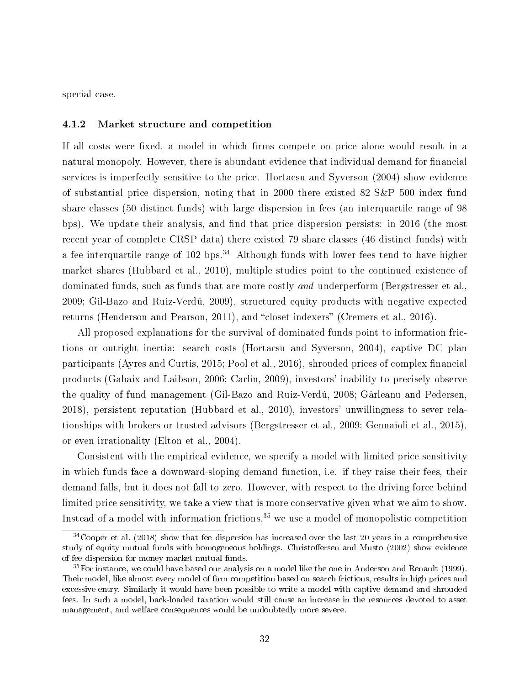special case.

### 4.1.2 Market structure and competition

If all costs were fixed, a model in which firms compete on price alone would result in a natural monopoly. However, there is abundant evidence that individual demand for financial services is imperfectly sensitive to the price. Hortacsu and Syverson (2004) show evidence of substantial price dispersion, noting that in 2000 there existed 82 S&P 500 index fund share classes (50 distinct funds) with large dispersion in fees (an interquartile range of 98 bps). We update their analysis, and find that price dispersion persists: in 2016 (the most recent year of complete CRSP data) there existed 79 share classes (46 distinct funds) with a fee interquartile range of 102 bps.<sup>34</sup> Although funds with lower fees tend to have higher market shares (Hubbard et al., 2010), multiple studies point to the continued existence of dominated funds, such as funds that are more costly and underperform (Bergstresser et al., 2009; Gil-Bazo and Ruiz-Verdú, 2009), structured equity products with negative expected returns (Henderson and Pearson, 2011), and "closet indexers" (Cremers et al., 2016).

All proposed explanations for the survival of dominated funds point to information frictions or outright inertia: search costs (Hortacsu and Syverson, 2004), captive DC plan participants (Ayres and Curtis, 2015; Pool et al., 2016), shrouded prices of complex financial products (Gabaix and Laibson, 2006; Carlin, 2009), investors' inability to precisely observe the quality of fund management (Gil-Bazo and Ruiz-Verdú, 2008; Gârleanu and Pedersen, 2018), persistent reputation (Hubbard et al., 2010), investors' unwillingness to sever relationships with brokers or trusted advisors (Bergstresser et al., 2009; Gennaioli et al., 2015), or even irrationality (Elton et al., 2004).

Consistent with the empirical evidence, we specify a model with limited price sensitivity in which funds face a downward-sloping demand function, i.e. if they raise their fees, their demand falls, but it does not fall to zero. However, with respect to the driving force behind limited price sensitivity, we take a view that is more conservative given what we aim to show. Instead of a model with information frictions, $35$  we use a model of monopolistic competition

 $34C_{\text{Ooper et al.}}$  (2018) show that fee dispersion has increased over the last 20 years in a comprehensive study of equity mutual funds with homogeneous holdings. Christoffersen and Musto (2002) show evidence of fee dispersion for money market mutual funds.

<sup>&</sup>lt;sup>35</sup>For instance, we could have based our analysis on a model like the one in Anderson and Renault (1999). Their model, like almost every model of firm competition based on search frictions, results in high prices and excessive entry. Similarly it would have been possible to write a model with captive demand and shrouded fees. In such a model, back-loaded taxation would still cause an increase in the resources devoted to asset management, and welfare consequences would be undoubtedly more severe.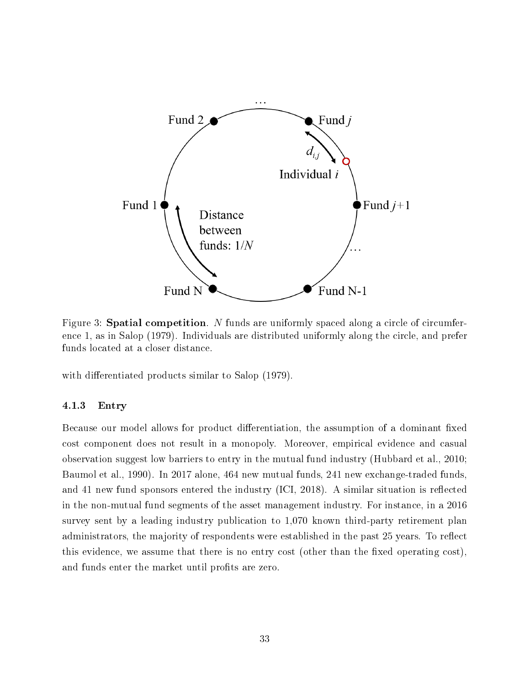

Figure 3: **Spatial competition**. N funds are uniformly spaced along a circle of circumference 1, as in Salop (1979). Individuals are distributed uniformly along the circle, and prefer funds located at a closer distance.

with differentiated products similar to Salop (1979).

### 4.1.3 Entry

Because our model allows for product differentiation, the assumption of a dominant fixed cost component does not result in a monopoly. Moreover, empirical evidence and casual observation suggest low barriers to entry in the mutual fund industry (Hubbard et al., 2010; Baumol et al., 1990). In 2017 alone, 464 new mutual funds, 241 new exchange-traded funds, and 41 new fund sponsors entered the industry  $(ICI, 2018)$ . A similar situation is reflected in the non-mutual fund segments of the asset management industry. For instance, in a 2016 survey sent by a leading industry publication to 1,070 known third-party retirement plan administrators, the majority of respondents were established in the past 25 years. To reflect this evidence, we assume that there is no entry cost (other than the fixed operating  $\cos t$ ), and funds enter the market until profits are zero.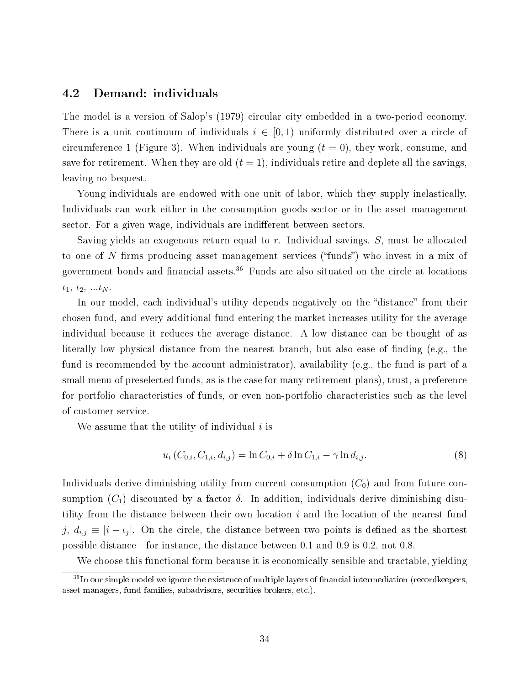### 4.2 Demand: individuals

The model is a version of Salop's (1979) circular city embedded in a two-period economy. There is a unit continuum of individuals  $i \in [0, 1)$  uniformly distributed over a circle of circumference 1 (Figure 3). When individuals are young  $(t = 0)$ , they work, consume, and save for retirement. When they are old  $(t = 1)$ , individuals retire and deplete all the savings, leaving no bequest.

Young individuals are endowed with one unit of labor, which they supply inelastically. Individuals can work either in the consumption goods sector or in the asset management sector. For a given wage, individuals are indifferent between sectors.

Saving yields an exogenous return equal to r. Individual savings, S, must be allocated to one of  $N$  firms producing asset management services ("funds") who invest in a mix of government bonds and financial assets. $36$  Funds are also situated on the circle at locations  $i_1, i_2, ... i_N$ .

In our model, each individual's utility depends negatively on the "distance" from their chosen fund, and every additional fund entering the market increases utility for the average individual because it reduces the average distance. A low distance can be thought of as literally low physical distance from the nearest branch, but also ease of finding (e.g., the fund is recommended by the account administrator), availability (e.g., the fund is part of a small menu of preselected funds, as is the case for many retirement plans), trust, a preference for portfolio characteristics of funds, or even non-portfolio characteristics such as the level of customer service.

We assume that the utility of individual  $i$  is

$$
u_i(C_{0,i}, C_{1,i}, d_{i,j}) = \ln C_{0,i} + \delta \ln C_{1,i} - \gamma \ln d_{i,j}.
$$
\n(8)

Individuals derive diminishing utility from current consumption  $(C_0)$  and from future consumption  $(C_1)$  discounted by a factor  $\delta$ . In addition, individuals derive diminishing disutility from the distance between their own location  $i$  and the location of the nearest fund j,  $d_{i,j} \equiv |i - i_j|$ . On the circle, the distance between two points is defined as the shortest possible distance—for instance, the distance between 0.1 and 0.9 is 0.2, not 0.8.

We choose this functional form because it is economically sensible and tractable, yielding

<sup>&</sup>lt;sup>36</sup>In our simple model we ignore the existence of multiple layers of financial intermediation (recordkeepers, asset managers, fund families, subadvisors, securities brokers, etc.).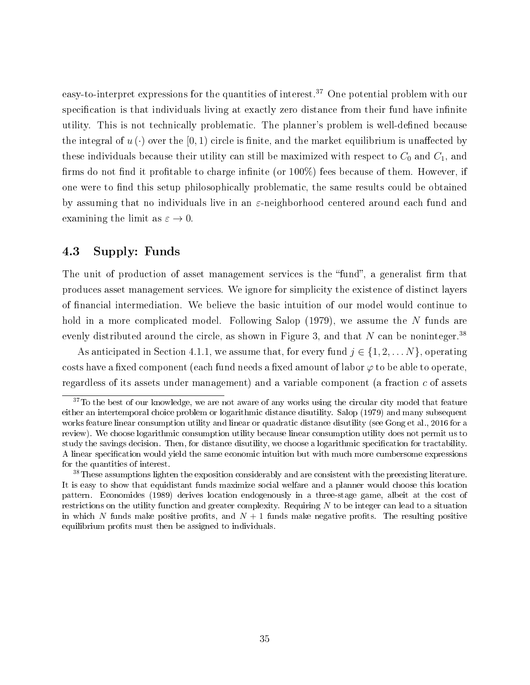easy-to-interpret expressions for the quantities of interest.<sup>37</sup> One potential problem with our specification is that individuals living at exactly zero distance from their fund have infinite utility. This is not technically problematic. The planner's problem is well-defined because the integral of  $u(\cdot)$  over the [0,1] circle is finite, and the market equilibrium is unaffected by these individuals because their utility can still be maximized with respect to  $C_0$  and  $C_1$ , and firms do not find it profitable to charge infinite (or  $100\%$ ) fees because of them. However, if one were to find this setup philosophically problematic, the same results could be obtained by assuming that no individuals live in an  $\varepsilon$ -neighborhood centered around each fund and examining the limit as  $\varepsilon \to 0$ .

### 4.3 Supply: Funds

The unit of production of asset management services is the "fund", a generalist firm that produces asset management services. We ignore for simplicity the existence of distinct layers of financial intermediation. We believe the basic intuition of our model would continue to hold in a more complicated model. Following Salop (1979), we assume the N funds are evenly distributed around the circle, as shown in Figure 3, and that N can be noninteger.<sup>38</sup>

As anticipated in Section 4.1.1, we assume that, for every fund  $j \in \{1, 2, \ldots N\}$ , operating costs have a fixed component (each fund needs a fixed amount of labor  $\varphi$  to be able to operate, regardless of its assets under management) and a variable component (a fraction c of assets

 $37$ To the best of our knowledge, we are not aware of any works using the circular city model that feature either an intertemporal choice problem or logarithmic distance disutility. Salop (1979) and many subsequent works feature linear consumption utility and linear or quadratic distance disutility (see Gong et al., 2016 for a review). We choose logarithmic consumption utility because linear consumption utility does not permit us to study the savings decision. Then, for distance disutility, we choose a logarithmic specification for tractability. A linear specification would yield the same economic intuition but with much more cumbersome expressions for the quantities of interest.

<sup>&</sup>lt;sup>38</sup>These assumptions lighten the exposition considerably and are consistent with the preexisting literature. It is easy to show that equidistant funds maximize social welfare and a planner would choose this location pattern. Economides (1989) derives location endogenously in a three-stage game, albeit at the cost of restrictions on the utility function and greater complexity. Requiring  $N$  to be integer can lead to a situation in which N funds make positive profits, and  $N+1$  funds make negative profits. The resulting positive equilibrium profits must then be assigned to individuals.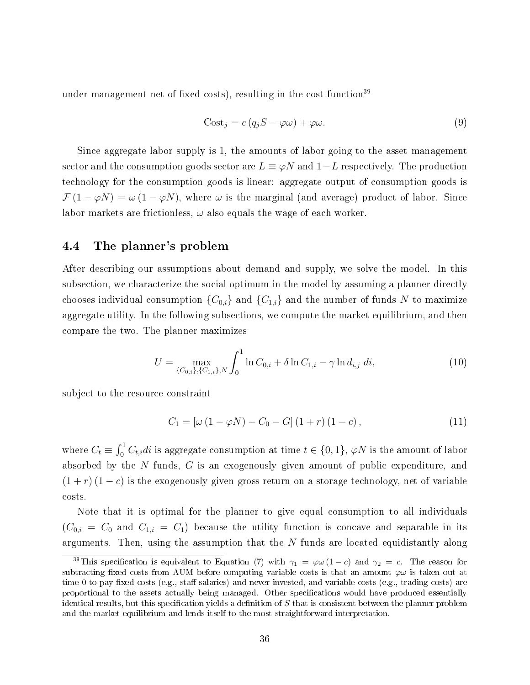under management net of fixed costs), resulting in the cost function<sup>39</sup>

$$
Cost_j = c (q_j S - \varphi \omega) + \varphi \omega.
$$
\n(9)

Since aggregate labor supply is 1, the amounts of labor going to the asset management sector and the consumption goods sector are  $L \equiv \varphi N$  and  $1-L$  respectively. The production technology for the consumption goods is linear: aggregate output of consumption goods is  $\mathcal{F}(1-\varphi N)=\omega(1-\varphi N)$ , where  $\omega$  is the marginal (and average) product of labor. Since labor markets are frictionless,  $\omega$  also equals the wage of each worker.

### 4.4 The planner's problem

After describing our assumptions about demand and supply, we solve the model. In this subsection, we characterize the social optimum in the model by assuming a planner directly chooses individual consumption  ${C_{0,i}}$  and  ${C_{1,i}}$  and the number of funds N to maximize aggregate utility. In the following subsections, we compute the market equilibrium, and then compare the two. The planner maximizes

$$
U = \max_{\{C_{0,i}\}, \{C_{1,i}\}, N} \int_0^1 \ln C_{0,i} + \delta \ln C_{1,i} - \gamma \ln d_{i,j} \, di,\tag{10}
$$

subject to the resource constraint

$$
C_1 = [\omega (1 - \varphi N) - C_0 - G] (1 + r) (1 - c), \qquad (11)
$$

where  $C_t \equiv \int_0^1 C_{t,i} dt$  is aggregate consumption at time  $t \in \{0,1\}$ ,  $\varphi N$  is the amount of labor absorbed by the N funds, G is an exogenously given amount of public expenditure, and  $(1 + r)(1 - c)$  is the exogenously given gross return on a storage technology, net of variable costs.

Note that it is optimal for the planner to give equal consumption to all individuals  $(C_{0,i} = C_0$  and  $C_{1,i} = C_1$ ) because the utility function is concave and separable in its arguments. Then, using the assumption that the  $N$  funds are located equidistantly along

<sup>&</sup>lt;sup>39</sup>This specification is equivalent to Equation (7) with  $\gamma_1 = \varphi \omega (1 - c)$  and  $\gamma_2 = c$ . The reason for subtracting fixed costs from AUM before computing variable costs is that an amount  $\varphi\omega$  is taken out at time 0 to pay fixed costs (e.g., staff salaries) and never invested, and variable costs (e.g., trading costs) are proportional to the assets actually being managed. Other specifications would have produced essentially identical results, but this specification yields a definition of  $S$  that is consistent between the planner problem and the market equilibrium and lends itself to the most straightforward interpretation.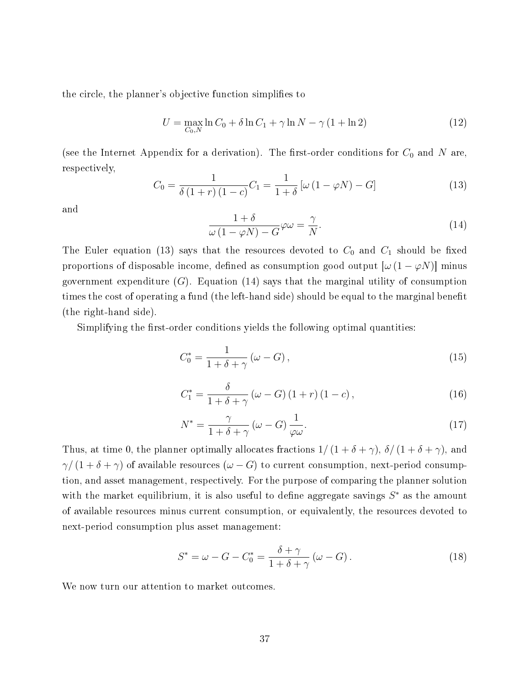the circle, the planner's objective function simplifies to

$$
U = \max_{C_0, N} \ln C_0 + \delta \ln C_1 + \gamma \ln N - \gamma (1 + \ln 2)
$$
 (12)

(see the Internet Appendix for a derivation). The first-order conditions for  $C_0$  and N are, respectively,

$$
C_0 = \frac{1}{\delta(1+r)(1-c)} C_1 = \frac{1}{1+\delta} \left[ \omega(1-\varphi N) - G \right]
$$
\n(13)

and

$$
\frac{1+\delta}{\omega(1-\varphi N)-G}\varphi\omega = \frac{\gamma}{N}.
$$
\n(14)

The Euler equation (13) says that the resources devoted to  $C_0$  and  $C_1$  should be fixed proportions of disposable income, defined as consumption good output  $[\omega (1 - \varphi N)]$  minus government expenditure  $(G)$ . Equation  $(14)$  says that the marginal utility of consumption times the cost of operating a fund (the left-hand side) should be equal to the marginal benefit (the right-hand side).

Simplifying the first-order conditions yields the following optimal quantities:

$$
C_0^* = \frac{1}{1 + \delta + \gamma} \left(\omega - G\right),\tag{15}
$$

$$
C_1^* = \frac{\delta}{1 + \delta + \gamma} \left(\omega - G\right) \left(1 + r\right) \left(1 - c\right),\tag{16}
$$

$$
N^* = \frac{\gamma}{1 + \delta + \gamma} \left(\omega - G\right) \frac{1}{\varphi \omega}.\tag{17}
$$

Thus, at time 0, the planner optimally allocates fractions  $1/(1+\delta+\gamma)$ ,  $\delta/(1+\delta+\gamma)$ , and  $\gamma/(1+\delta+\gamma)$  of available resources  $(\omega - G)$  to current consumption, next-period consumption, and asset management, respectively. For the purpose of comparing the planner solution with the market equilibrium, it is also useful to define aggregate savings  $S^*$  as the amount of available resources minus current consumption, or equivalently, the resources devoted to next-period consumption plus asset management:

$$
S^* = \omega - G - C_0^* = \frac{\delta + \gamma}{1 + \delta + \gamma} \left(\omega - G\right). \tag{18}
$$

We now turn our attention to market outcomes.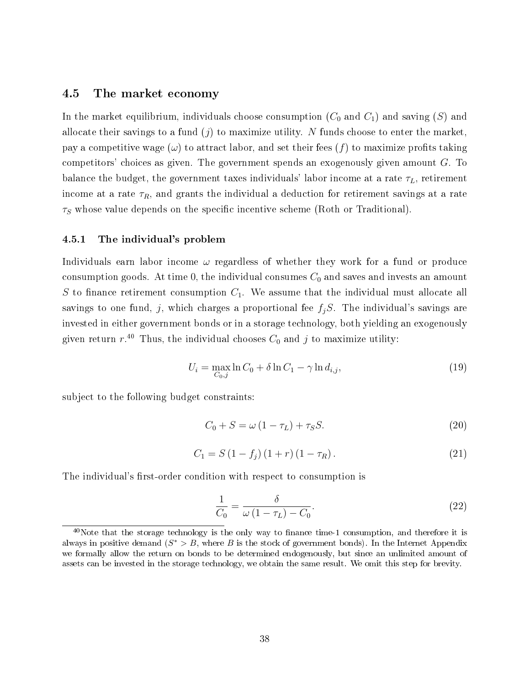### 4.5 The market economy

In the market equilibrium, individuals choose consumption  $(C_0$  and  $C_1$ ) and saving  $(S)$  and allocate their savings to a fund  $(j)$  to maximize utility. N funds choose to enter the market, pay a competitive wage  $(\omega)$  to attract labor, and set their fees  $(f)$  to maximize profits taking competitors' choices as given. The government spends an exogenously given amount  $G$ . To balance the budget, the government taxes individuals' labor income at a rate  $\tau_L$ , retirement income at a rate  $\tau_R$ , and grants the individual a deduction for retirement savings at a rate  $\tau<sub>S</sub>$  whose value depends on the specific incentive scheme (Roth or Traditional).

#### 4.5.1 The individual's problem

Individuals earn labor income  $\omega$  regardless of whether they work for a fund or produce consumption goods. At time 0, the individual consumes  $C_0$  and saves and invests an amount S to finance retirement consumption  $C_1$ . We assume that the individual must allocate all savings to one fund, j, which charges a proportional fee  $f_jS$ . The individual's savings are invested in either government bonds or in a storage technology, both yielding an exogenously given return  $r^{40}$  Thus, the individual chooses  $C_0$  and  $j$  to maximize utility:

$$
U_i = \max_{C_0, j} \ln C_0 + \delta \ln C_1 - \gamma \ln d_{i,j},\tag{19}
$$

subject to the following budget constraints:

$$
C_0 + S = \omega \left(1 - \tau_L\right) + \tau_S S. \tag{20}
$$

$$
C_1 = S(1 - f_j)(1 + r)(1 - \tau_R). \tag{21}
$$

The individual's first-order condition with respect to consumption is

$$
\frac{1}{C_0} = \frac{\delta}{\omega \left(1 - \tau_L\right) - C_0}.\tag{22}
$$

 $40$ Note that the storage technology is the only way to finance time-1 consumption, and therefore it is always in positive demand  $(S^* > B$ , where B is the stock of government bonds). In the Internet Appendix we formally allow the return on bonds to be determined endogenously, but since an unlimited amount of assets can be invested in the storage technology, we obtain the same result. We omit this step for brevity.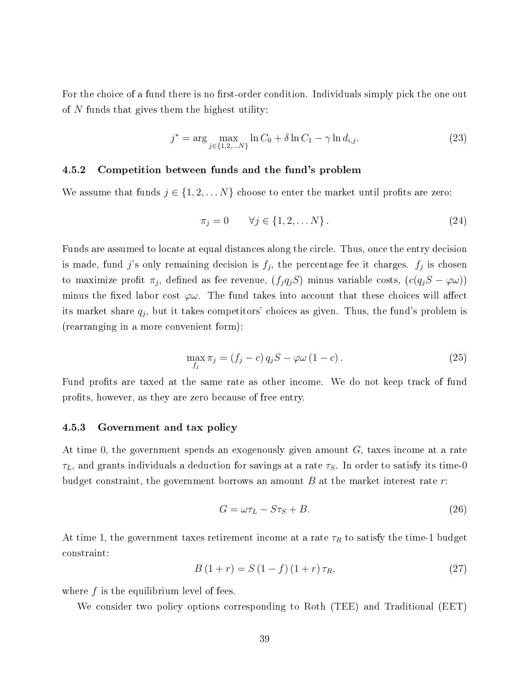For the choice of a fund there is no first-order condition. Individuals simply pick the one out of  $N$  funds that gives them the highest utility:

$$
j^* = \arg\max_{j \in \{1, 2, \dots N\}} \ln C_0 + \delta \ln C_1 - \gamma \ln d_{i,j}.
$$
 (23)

#### 4.5.2 Competition between funds and the fund's problem

We assume that funds  $j \in \{1, 2, \ldots N\}$  choose to enter the market until profits are zero:

$$
\pi_j = 0 \qquad \forall j \in \{1, 2, \dots N\} \,. \tag{24}
$$

Funds are assumed to locate at equal distances along the circle. Thus, once the entry decision is made, fund j's only remaining decision is  $f_j$ , the percentage fee it charges.  $f_j$  is chosen to maximize profit  $\pi_j$ , defined as fee revenue,  $(f_j q_j S)$  minus variable costs,  $(c(q_j S - \varphi \omega))$ minus the fixed labor cost  $\varphi\omega$ . The fund takes into account that these choices will affect its market share  $q_j$ , but it takes competitors' choices as given. Thus, the fund's problem is (rearranging in a more convenient form):

$$
\max_{f_j} \pi_j = (f_j - c) q_j S - \varphi \omega (1 - c). \tag{25}
$$

Fund profits are taxed at the same rate as other income. We do not keep track of fund profits, however, as they are zero because of free entry.

#### 4.5.3 Government and tax policy

At time 0, the government spends an exogenously given amount  $G$ , taxes income at a rate  $\tau_L$ , and grants individuals a deduction for savings at a rate  $\tau_S$ . In order to satisfy its time-0 budget constraint, the government borrows an amount  $B$  at the market interest rate  $r$ :

$$
G = \omega \tau_L - S \tau_S + B. \tag{26}
$$

At time 1, the government taxes retirement income at a rate  $\tau_R$  to satisfy the time-1 budget constraint:

$$
B(1+r) = S(1-f)(1+r)\tau_R,
$$
\n(27)

where f is the equilibrium level of fees.

We consider two policy options corresponding to Roth (TEE) and Traditional (EET)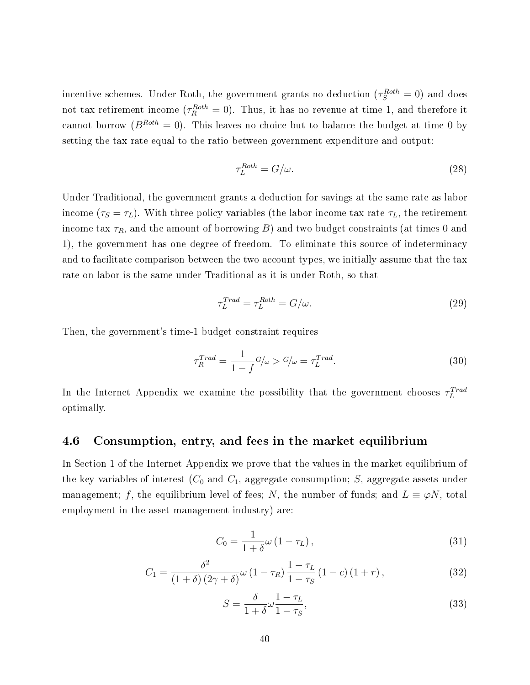incentive schemes. Under Roth, the government grants no deduction  $(\tau_S^{Roth}=0)$  and does not tax retirement income  $(\tau_R^{Roth} = 0)$ . Thus, it has no revenue at time 1, and therefore it cannot borrow ( $B^{Roth} = 0$ ). This leaves no choice but to balance the budget at time 0 by setting the tax rate equal to the ratio between government expenditure and output:

$$
\tau_L^{Roth} = G/\omega. \tag{28}
$$

Under Traditional, the government grants a deduction for savings at the same rate as labor income ( $\tau_S = \tau_L$ ). With three policy variables (the labor income tax rate  $\tau_L$ , the retirement income tax  $\tau_R$ , and the amount of borrowing B) and two budget constraints (at times 0 and 1), the government has one degree of freedom. To eliminate this source of indeterminacy and to facilitate comparison between the two account types, we initially assume that the tax rate on labor is the same under Traditional as it is under Roth, so that

$$
\tau_L^{Trad} = \tau_L^{Roth} = G/\omega.
$$
\n(29)

Then, the government's time-1 budget constraint requires

$$
\tau_R^{Trad} = \frac{1}{1 - f} G/\omega > G/\omega = \tau_L^{Trad}.
$$
\n(30)

In the Internet Appendix we examine the possibility that the government chooses  $\tau_L^{Trad}$ optimally.

### 4.6 Consumption, entry, and fees in the market equilibrium

In Section 1 of the Internet Appendix we prove that the values in the market equilibrium of the key variables of interest  $(C_0$  and  $C_1$ , aggregate consumption; S, aggregate assets under management; f, the equilibrium level of fees; N, the number of funds; and  $L \equiv \varphi N$ , total employment in the asset management industry) are:

$$
C_0 = \frac{1}{1+\delta}\omega\left(1-\tau_L\right),\tag{31}
$$

$$
C_1 = \frac{\delta^2}{\left(1+\delta\right)\left(2\gamma+\delta\right)}\omega\left(1-\tau_R\right)\frac{1-\tau_L}{1-\tau_S}\left(1-c\right)\left(1+r\right),\tag{32}
$$

$$
S = \frac{\delta}{1+\delta}\omega\frac{1-\tau_L}{1-\tau_S},\tag{33}
$$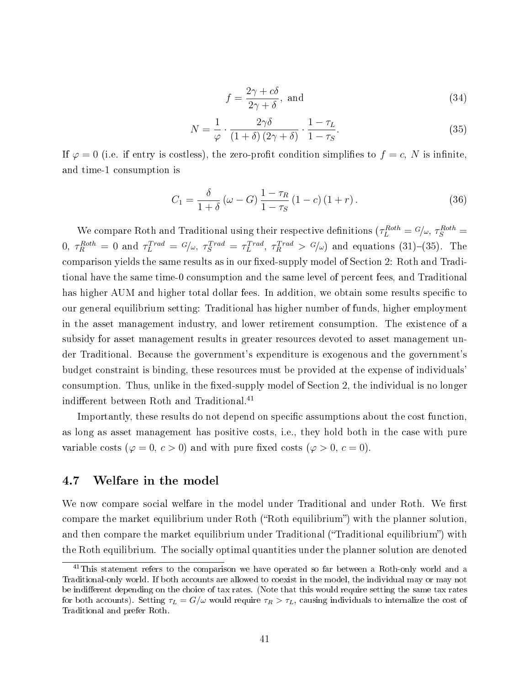$$
f = \frac{2\gamma + c\delta}{2\gamma + \delta}, \text{ and} \tag{34}
$$

$$
N = \frac{1}{\varphi} \cdot \frac{2\gamma\delta}{\left(1+\delta\right)\left(2\gamma+\delta\right)} \cdot \frac{1-\tau_L}{1-\tau_S}.\tag{35}
$$

If  $\varphi = 0$  (i.e. if entry is costless), the zero-profit condition simplifies to  $f = c$ , N is infinite, and time-1 consumption is

$$
C_1 = \frac{\delta}{1+\delta} \left( \omega - G \right) \frac{1-\tau_R}{1-\tau_S} \left( 1-c \right) \left( 1+r \right). \tag{36}
$$

We compare Roth and Traditional using their respective definitions  $(\tau_L^{Roth} = G/\omega, \tau_S^{Roth} =$  $0, \tau_R^{Roth} = 0$  and  $\tau_L^{Trad} = G/\omega, \tau_S^{Trad} = \tau_L^{Trad}, \tau_R^{Trad} > G/\omega$  and equations (31)-(35). The comparison yields the same results as in our fixed-supply model of Section 2: Roth and Traditional have the same time-0 consumption and the same level of percent fees, and Traditional has higher AUM and higher total dollar fees. In addition, we obtain some results specific to our general equilibrium setting: Traditional has higher number of funds, higher employment in the asset management industry, and lower retirement consumption. The existence of a subsidy for asset management results in greater resources devoted to asset management under Traditional. Because the government's expenditure is exogenous and the government's budget constraint is binding, these resources must be provided at the expense of individuals' consumption. Thus, unlike in the fixed-supply model of Section 2, the individual is no longer indifferent between Roth and Traditional.<sup>41</sup>

Importantly, these results do not depend on specific assumptions about the cost function. as long as asset management has positive costs, i.e., they hold both in the case with pure variable costs ( $\varphi = 0, c > 0$ ) and with pure fixed costs ( $\varphi > 0, c = 0$ ).

### 4.7 Welfare in the model

We now compare social welfare in the model under Traditional and under Roth. We first compare the market equilibrium under Roth ("Roth equilibrium") with the planner solution. and then compare the market equilibrium under Traditional ("Traditional equilibrium") with the Roth equilibrium. The socially optimal quantities under the planner solution are denoted

<sup>&</sup>lt;sup>41</sup>This statement refers to the comparison we have operated so far between a Roth-only world and a Traditional-only world. If both accounts are allowed to coexist in the model, the individual may or may not be indifferent depending on the choice of tax rates. (Note that this would require setting the same tax rates for both accounts). Setting  $\tau_L = G/\omega$  would require  $\tau_R > \tau_L$ , causing individuals to internalize the cost of Traditional and prefer Roth.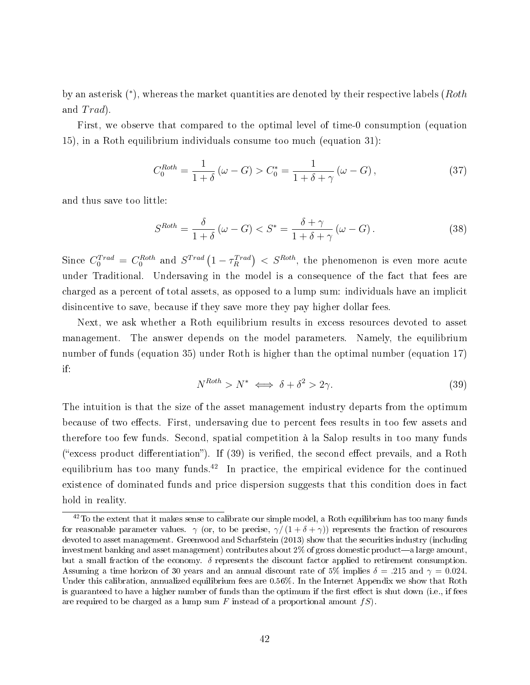by an asterisk  $(*)$ , whereas the market quantities are denoted by their respective labels (Roth and  $Trad$ ).

First, we observe that compared to the optimal level of time-0 consumption (equation 15), in a Roth equilibrium individuals consume too much (equation 31):

$$
C_0^{Roth} = \frac{1}{1+\delta} \left( \omega - G \right) > C_0^* = \frac{1}{1+\delta + \gamma} \left( \omega - G \right),\tag{37}
$$

and thus save too little:

$$
S^{Roth} = \frac{\delta}{1+\delta} \left( \omega - G \right) < S^* = \frac{\delta + \gamma}{1+\delta + \gamma} \left( \omega - G \right). \tag{38}
$$

Since  $C_0^{Trad} = C_0^{Roth}$  and  $S^{Trad} (1 - \tau_R^{Trad}) < S^{Roth}$ , the phenomenon is even more acute under Traditional. Undersaving in the model is a consequence of the fact that fees are charged as a percent of total assets, as opposed to a lump sum: individuals have an implicit disincentive to save, because if they save more they pay higher dollar fees.

Next, we ask whether a Roth equilibrium results in excess resources devoted to asset management. The answer depends on the model parameters. Namely, the equilibrium number of funds (equation 35) under Roth is higher than the optimal number (equation 17) if:

$$
N^{Roth} > N^* \iff \delta + \delta^2 > 2\gamma. \tag{39}
$$

The intuition is that the size of the asset management industry departs from the optimum because of two effects. First, undersaving due to percent fees results in too few assets and therefore too few funds. Second, spatial competition à la Salop results in too many funds ("excess product differentiation"). If  $(39)$  is verified, the second effect prevails, and a Roth equilibrium has too many funds.<sup>42</sup> In practice, the empirical evidence for the continued existence of dominated funds and price dispersion suggests that this condition does in fact hold in reality.

 $^{42}$ To the extent that it makes sense to calibrate our simple model, a Roth equilibrium has too many funds for reasonable parameter values.  $\gamma$  (or, to be precise,  $\gamma/(1+\delta+\gamma)$ ) represents the fraction of resources devoted to asset management. Greenwood and Scharfstein (2013) show that the securities industry (including investment banking and asset management) contributes about  $2\%$  of gross domestic product—a large amount, but a small fraction of the economy.  $\delta$  represents the discount factor applied to retirement consumption. Assuming a time horizon of 30 years and an annual discount rate of 5% implies  $\delta = .215$  and  $\gamma = 0.024$ . Under this calibration, annualized equilibrium fees are 0.56%. In the Internet Appendix we show that Roth is guaranteed to have a higher number of funds than the optimum if the first effect is shut down (i.e., if fees are required to be charged as a lump sum F instead of a proportional amount  $fS$ ).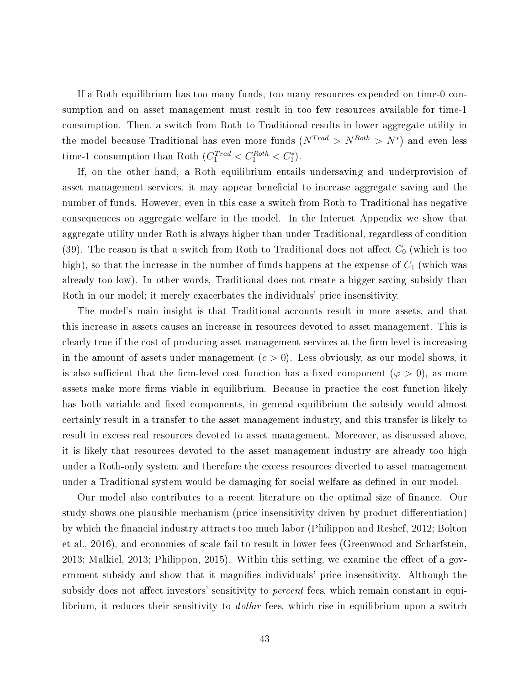If a Roth equilibrium has too many funds, too many resources expended on time-0 consumption and on asset management must result in too few resources available for time-1 consumption. Then, a switch from Roth to Traditional results in lower aggregate utility in the model because Traditional has even more funds  $(N^{Trad} > N^{Roth} > N^*)$  and even less time-1 consumption than Roth  $(C_1^{Trad} < C_1^{Roth} < C_1^*$ ).

If, on the other hand, a Roth equilibrium entails undersaving and underprovision of asset management services, it may appear beneficial to increase aggregate saving and the number of funds. However, even in this case a switch from Roth to Traditional has negative consequences on aggregate welfare in the model. In the Internet Appendix we show that aggregate utility under Roth is always higher than under Traditional, regardless of condition (39). The reason is that a switch from Roth to Traditional does not affect  $C_0$  (which is too high), so that the increase in the number of funds happens at the expense of  $C_1$  (which was already too low). In other words, Traditional does not create a bigger saving subsidy than Roth in our model; it merely exacerbates the individuals' price insensitivity.

The model's main insight is that Traditional accounts result in more assets, and that this increase in assets causes an increase in resources devoted to asset management. This is clearly true if the cost of producing asset management services at the firm level is increasing in the amount of assets under management  $(c > 0)$ . Less obviously, as our model shows, it is also sufficient that the firm-level cost function has a fixed component ( $\varphi > 0$ ), as more assets make more firms viable in equilibrium. Because in practice the cost function likely has both variable and fixed components, in general equilibrium the subsidy would almost certainly result in a transfer to the asset management industry, and this transfer is likely to result in excess real resources devoted to asset management. Moreover, as discussed above, it is likely that resources devoted to the asset management industry are already too high under a Roth-only system, and therefore the excess resources diverted to asset management under a Traditional system would be damaging for social welfare as defined in our model.

Our model also contributes to a recent literature on the optimal size of nance. Our study shows one plausible mechanism (price insensitivity driven by product differentiation) by which the nancial industry attracts too much labor (Philippon and Reshef, 2012; Bolton et al., 2016), and economies of scale fail to result in lower fees (Greenwood and Scharfstein,  $2013$ ; Malkiel,  $2013$ ; Philippon,  $2015$ ). Within this setting, we examine the effect of a government subsidy and show that it magnies individuals' price insensitivity. Although the subsidy does not affect investors' sensitivity to *percent* fees, which remain constant in equilibrium, it reduces their sensitivity to *dollar* fees, which rise in equilibrium upon a switch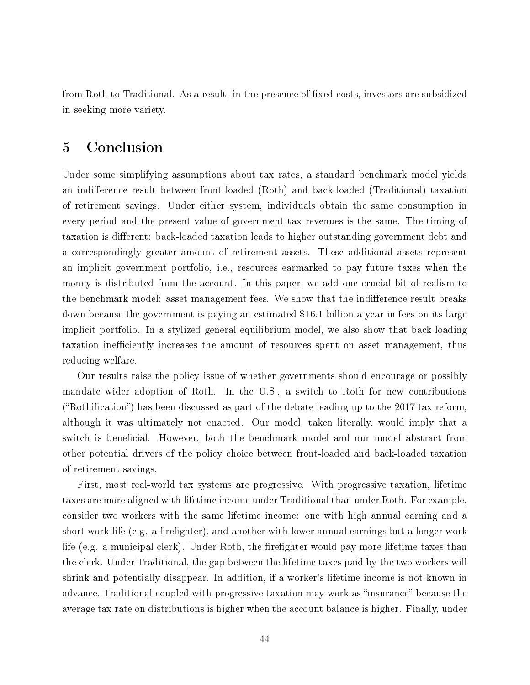from Roth to Traditional. As a result, in the presence of fixed costs, investors are subsidized in seeking more variety.

## 5 Conclusion

Under some simplifying assumptions about tax rates, a standard benchmark model yields an indifference result between front-loaded (Roth) and back-loaded (Traditional) taxation of retirement savings. Under either system, individuals obtain the same consumption in every period and the present value of government tax revenues is the same. The timing of taxation is different: back-loaded taxation leads to higher outstanding government debt and a correspondingly greater amount of retirement assets. These additional assets represent an implicit government portfolio, i.e., resources earmarked to pay future taxes when the money is distributed from the account. In this paper, we add one crucial bit of realism to the benchmark model: asset management fees. We show that the indifference result breaks down because the government is paying an estimated \$16.1 billion a year in fees on its large implicit portfolio. In a stylized general equilibrium model, we also show that back-loading taxation inefficiently increases the amount of resources spent on asset management, thus reducing welfare.

Our results raise the policy issue of whether governments should encourage or possibly mandate wider adoption of Roth. In the U.S., a switch to Roth for new contributions ("Rothification") has been discussed as part of the debate leading up to the 2017 tax reform. although it was ultimately not enacted. Our model, taken literally, would imply that a switch is beneficial. However, both the benchmark model and our model abstract from other potential drivers of the policy choice between front-loaded and back-loaded taxation of retirement savings.

First, most real-world tax systems are progressive. With progressive taxation, lifetime taxes are more aligned with lifetime income under Traditional than under Roth. For example, consider two workers with the same lifetime income: one with high annual earning and a short work life (e.g. a firefighter), and another with lower annual earnings but a longer work life (e.g. a municipal clerk). Under Roth, the firefighter would pay more lifetime taxes than the clerk. Under Traditional, the gap between the lifetime taxes paid by the two workers will shrink and potentially disappear. In addition, if a worker's lifetime income is not known in advance, Traditional coupled with progressive taxation may work as "insurance" because the average tax rate on distributions is higher when the account balance is higher. Finally, under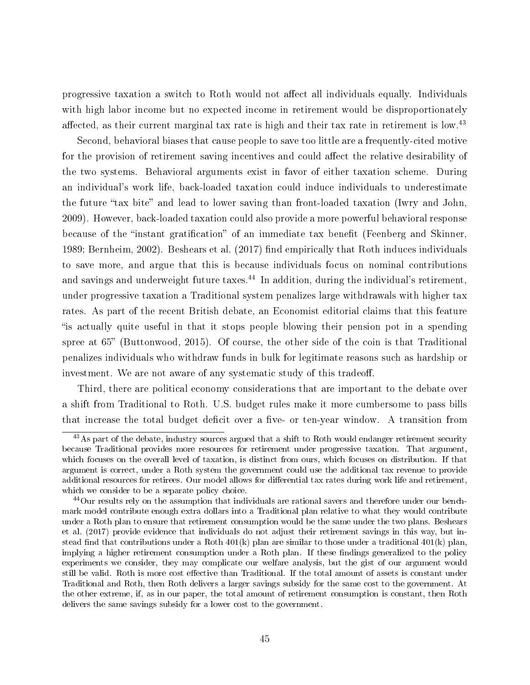progressive taxation a switch to Roth would not affect all individuals equally. Individuals with high labor income but no expected income in retirement would be disproportionately affected, as their current marginal tax rate is high and their tax rate in retirement is low.<sup>43</sup>

Second, behavioral biases that cause people to save too little are a frequently-cited motive for the provision of retirement saving incentives and could affect the relative desirability of the two systems. Behavioral arguments exist in favor of either taxation scheme. During an individual's work life, back-loaded taxation could induce individuals to underestimate the future "tax bite" and lead to lower saving than front-loaded taxation (Iwry and John, 2009). However, back-loaded taxation could also provide a more powerful behavioral response because of the "instant gratification" of an immediate tax benefit (Feenberg and Skinner, 1989; Bernheim, 2002). Beshears et al. (2017) find empirically that Roth induces individuals to save more, and argue that this is because individuals focus on nominal contributions and savings and underweight future taxes.<sup>44</sup> In addition, during the individual's retirement, under progressive taxation a Traditional system penalizes large withdrawals with higher tax rates. As part of the recent British debate, an Economist editorial claims that this feature is actually quite useful in that it stops people blowing their pension pot in a spending spree at  $65$ " (Buttonwood, 2015). Of course, the other side of the coin is that Traditional penalizes individuals who withdraw funds in bulk for legitimate reasons such as hardship or investment. We are not aware of any systematic study of this tradeoff.

Third, there are political economy considerations that are important to the debate over a shift from Traditional to Roth. U.S. budget rules make it more cumbersome to pass bills that increase the total budget deficit over a five- or ten-year window. A transition from

<sup>&</sup>lt;sup>43</sup>As part of the debate, industry sources argued that a shift to Roth would endanger retirement security because Traditional provides more resources for retirement under progressive taxation. That argument, which focuses on the overall level of taxation, is distinct from ours, which focuses on distribution. If that argument is correct, under a Roth system the government could use the additional tax revenue to provide additional resources for retirees. Our model allows for differential tax rates during work life and retirement, which we consider to be a separate policy choice.

<sup>44</sup>Our results rely on the assumption that individuals are rational savers and therefore under our benchmark model contribute enough extra dollars into a Traditional plan relative to what they would contribute under a Roth plan to ensure that retirement consumption would be the same under the two plans. Beshears et al. (2017) provide evidence that individuals do not adjust their retirement savings in this way, but instead find that contributions under a Roth  $401(k)$  plan are similar to those under a traditional  $401(k)$  plan, implying a higher retirement consumption under a Roth plan. If these findings generalized to the policy experiments we consider, they may complicate our welfare analysis, but the gist of our argument would still be valid. Roth is more cost effective than Traditional. If the total amount of assets is constant under Traditional and Roth, then Roth delivers a larger savings subsidy for the same cost to the government. At the other extreme, if, as in our paper, the total amount of retirement consumption is constant, then Roth delivers the same savings subsidy for a lower cost to the government.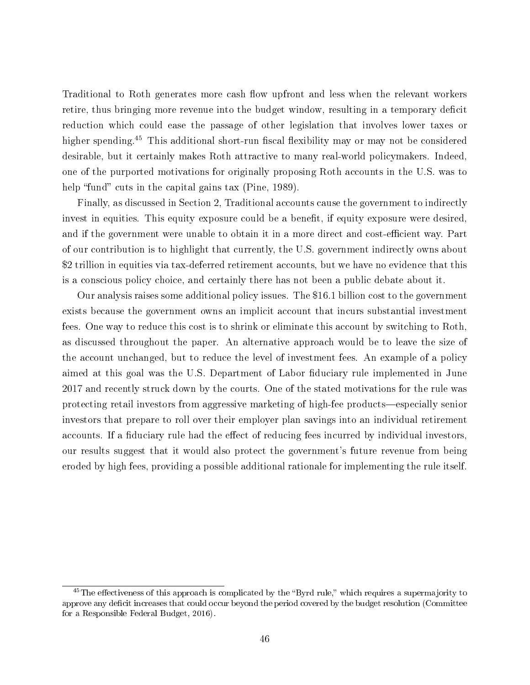Traditional to Roth generates more cash flow upfront and less when the relevant workers retire, thus bringing more revenue into the budget window, resulting in a temporary deficit reduction which could ease the passage of other legislation that involves lower taxes or higher spending.<sup>45</sup> This additional short-run fiscal flexibility may or may not be considered desirable, but it certainly makes Roth attractive to many real-world policymakers. Indeed, one of the purported motivations for originally proposing Roth accounts in the U.S. was to help "fund" cuts in the capital gains tax (Pine, 1989).

Finally, as discussed in Section 2, Traditional accounts cause the government to indirectly invest in equities. This equity exposure could be a benefit, if equity exposure were desired, and if the government were unable to obtain it in a more direct and cost-efficient way. Part of our contribution is to highlight that currently, the U.S. government indirectly owns about \$2 trillion in equities via tax-deferred retirement accounts, but we have no evidence that this is a conscious policy choice, and certainly there has not been a public debate about it.

Our analysis raises some additional policy issues. The \$16.1 billion cost to the government exists because the government owns an implicit account that incurs substantial investment fees. One way to reduce this cost is to shrink or eliminate this account by switching to Roth, as discussed throughout the paper. An alternative approach would be to leave the size of the account unchanged, but to reduce the level of investment fees. An example of a policy aimed at this goal was the U.S. Department of Labor fiduciary rule implemented in June 2017 and recently struck down by the courts. One of the stated motivations for the rule was protecting retail investors from aggressive marketing of high-fee products—especially senior investors that prepare to roll over their employer plan savings into an individual retirement accounts. If a fiduciary rule had the effect of reducing fees incurred by individual investors, our results suggest that it would also protect the government's future revenue from being eroded by high fees, providing a possible additional rationale for implementing the rule itself.

 $45$ The effectiveness of this approach is complicated by the "Byrd rule," which requires a supermajority to approve any deficit increases that could occur beyond the period covered by the budget resolution (Committee for a Responsible Federal Budget, 2016).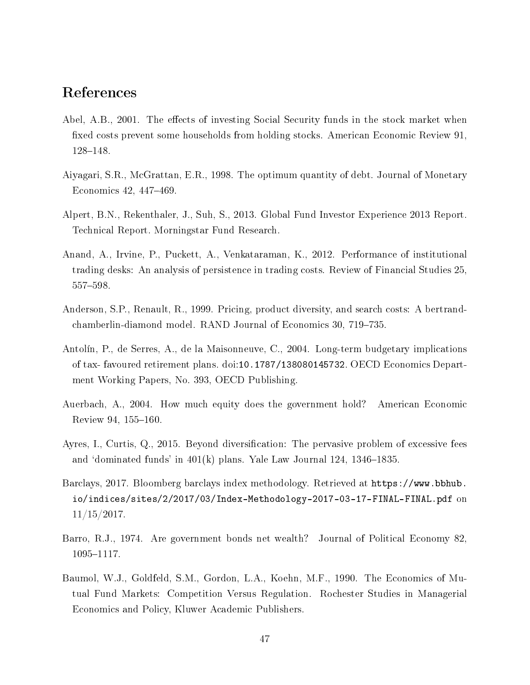## References

- Abel, A.B., 2001. The effects of investing Social Security funds in the stock market when fixed costs prevent some households from holding stocks. American Economic Review 91, 128-148.
- Aiyagari, S.R., McGrattan, E.R., 1998. The optimum quantity of debt. Journal of Monetary Economics 42, 447–469.
- Alpert, B.N., Rekenthaler, J., Suh, S., 2013. Global Fund Investor Experience 2013 Report. Technical Report. Morningstar Fund Research.
- Anand, A., Irvine, P., Puckett, A., Venkataraman, K., 2012. Performance of institutional trading desks: An analysis of persistence in trading costs. Review of Financial Studies 25, 557-598.
- Anderson, S.P., Renault, R., 1999. Pricing, product diversity, and search costs: A bertrandchamberlin-diamond model. RAND Journal of Economics 30, 719–735.
- Antolín, P., de Serres, A., de la Maisonneuve, C., 2004. Long-term budgetary implications of tax- favoured retirement plans. doi:10.1787/138080145732. OECD Economics Department Working Papers, No. 393, OECD Publishing.
- Auerbach, A., 2004. How much equity does the government hold? American Economic Review 94, 155-160.
- Ayres, I., Curtis, Q., 2015. Beyond diversification: The pervasive problem of excessive fees and 'dominated funds' in  $401(k)$  plans. Yale Law Journal 124, 1346–1835.
- Barclays, 2017. Bloomberg barclays index methodology. Retrieved at https://www.bbhub. io/indices/sites/2/2017/03/Index-Methodology-2017-03-17-FINAL-FINAL.pdf on 11/15/2017.
- Barro, R.J., 1974. Are government bonds net wealth? Journal of Political Economy 82, 1095-1117.
- Baumol, W.J., Goldfeld, S.M., Gordon, L.A., Koehn, M.F., 1990. The Economics of Mutual Fund Markets: Competition Versus Regulation. Rochester Studies in Managerial Economics and Policy, Kluwer Academic Publishers.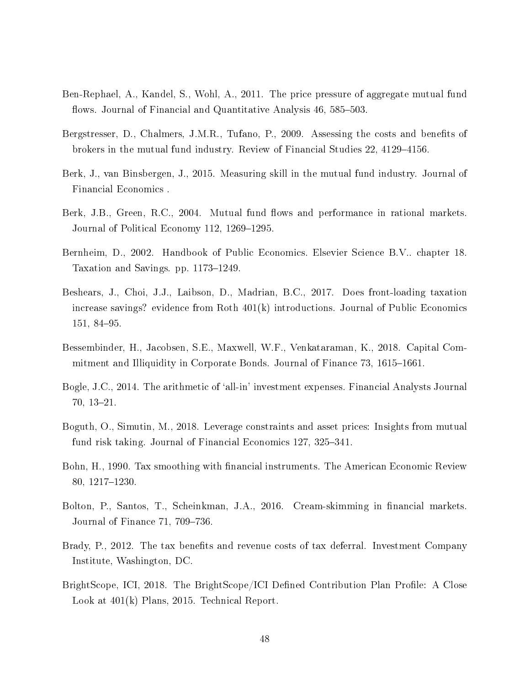- Ben-Rephael, A., Kandel, S., Wohl, A., 2011. The price pressure of aggregate mutual fund flows. Journal of Financial and Quantitative Analysis 46, 585–503.
- Bergstresser, D., Chalmers, J.M.R., Tufano, P., 2009. Assessing the costs and benefits of brokers in the mutual fund industry. Review of Financial Studies 22, 4129–4156.
- Berk, J., van Binsbergen, J., 2015. Measuring skill in the mutual fund industry. Journal of Financial Economics .
- Berk, J.B., Green, R.C., 2004. Mutual fund flows and performance in rational markets. Journal of Political Economy 112, 1269–1295.
- Bernheim, D., 2002. Handbook of Public Economics. Elsevier Science B.V.. chapter 18. Taxation and Savings. pp. 1173–1249.
- Beshears, J., Choi, J.J., Laibson, D., Madrian, B.C., 2017. Does front-loading taxation increase savings? evidence from Roth 401(k) introductions. Journal of Public Economics  $151, 84 - 95.$
- Bessembinder, H., Jacobsen, S.E., Maxwell, W.F., Venkataraman, K., 2018. Capital Commitment and Illiquidity in Corporate Bonds. Journal of Finance 73, 1615–1661.
- Bogle, J.C., 2014. The arithmetic of `all-in' investment expenses. Financial Analysts Journal  $70, 13-21.$
- Boguth, O., Simutin, M., 2018. Leverage constraints and asset prices: Insights from mutual fund risk taking. Journal of Financial Economics 127, 325–341.
- Bohn, H., 1990. Tax smoothing with nancial instruments. The American Economic Review 80, 1217-1230.
- Bolton, P., Santos, T., Scheinkman, J.A., 2016. Cream-skimming in financial markets. Journal of Finance 71, 709–736.
- Brady, P., 2012. The tax benefits and revenue costs of tax deferral. Investment Company Institute, Washington, DC.
- BrightScope, ICI, 2018. The BrightScope/ICI Defined Contribution Plan Profile: A Close Look at 401(k) Plans, 2015. Technical Report.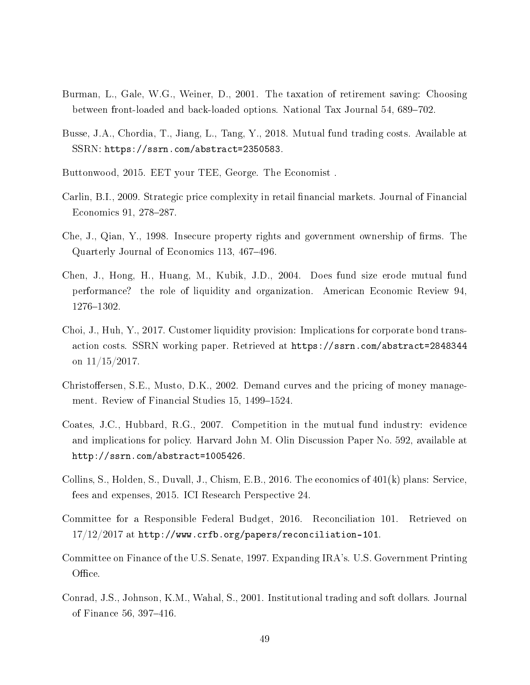- Burman, L., Gale, W.G., Weiner, D., 2001. The taxation of retirement saving: Choosing between front-loaded and back-loaded options. National Tax Journal 54, 689–702.
- Busse, J.A., Chordia, T., Jiang, L., Tang, Y., 2018. Mutual fund trading costs. Available at SSRN: https://ssrn.com/abstract=2350583.
- Buttonwood, 2015. EET your TEE, George. The Economist .
- Carlin, B.I., 2009. Strategic price complexity in retail financial markets. Journal of Financial Economics 91, 278–287.
- Che, J., Qian, Y., 1998. Insecure property rights and government ownership of firms. The Quarterly Journal of Economics 113, 467-496.
- Chen, J., Hong, H., Huang, M., Kubik, J.D., 2004. Does fund size erode mutual fund performance? the role of liquidity and organization. American Economic Review 94, 1276-1302.
- Choi, J., Huh, Y., 2017. Customer liquidity provision: Implications for corporate bond transaction costs. SSRN working paper. Retrieved at https://ssrn.com/abstract=2848344 on 11/15/2017.
- Christoffersen, S.E., Musto, D.K., 2002. Demand curves and the pricing of money management. Review of Financial Studies 15, 1499–1524.
- Coates, J.C., Hubbard, R.G., 2007. Competition in the mutual fund industry: evidence and implications for policy. Harvard John M. Olin Discussion Paper No. 592, available at http://ssrn.com/abstract=1005426.
- Collins, S., Holden, S., Duvall, J., Chism, E.B., 2016. The economics of 401(k) plans: Service, fees and expenses, 2015. ICI Research Perspective 24.
- Committee for a Responsible Federal Budget, 2016. Reconciliation 101. Retrieved on  $17/12/2017$  at http://www.crfb.org/papers/reconciliation-101.
- Committee on Finance of the U.S. Senate, 1997. Expanding IRA's. U.S. Government Printing Office.
- Conrad, J.S., Johnson, K.M., Wahal, S., 2001. Institutional trading and soft dollars. Journal of Finance 56, 397-416.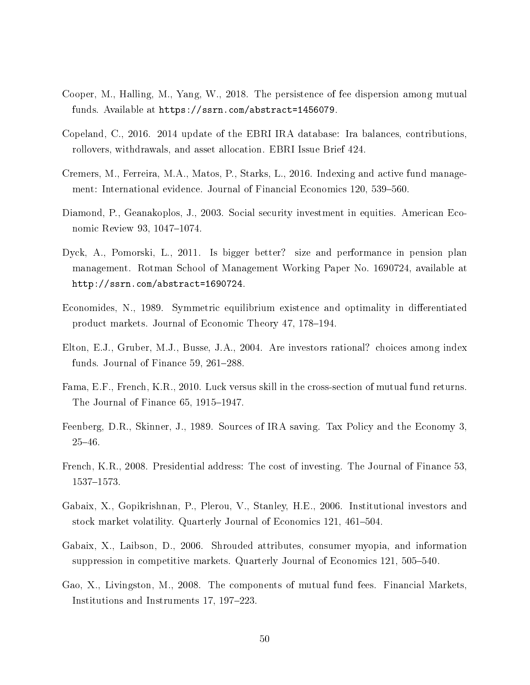- Cooper, M., Halling, M., Yang, W., 2018. The persistence of fee dispersion among mutual funds. Available at https://ssrn.com/abstract=1456079.
- Copeland, C., 2016. 2014 update of the EBRI IRA database: Ira balances, contributions, rollovers, withdrawals, and asset allocation. EBRI Issue Brief 424.
- Cremers, M., Ferreira, M.A., Matos, P., Starks, L., 2016. Indexing and active fund management: International evidence. Journal of Financial Economics 120, 539–560.
- Diamond, P., Geanakoplos, J., 2003. Social security investment in equities. American Economic Review 93, 1047-1074.
- Dyck, A., Pomorski, L., 2011. Is bigger better? size and performance in pension plan management. Rotman School of Management Working Paper No. 1690724, available at http://ssrn.com/abstract=1690724.
- Economides, N., 1989. Symmetric equilibrium existence and optimality in differentiated product markets. Journal of Economic Theory 47, 178–194.
- Elton, E.J., Gruber, M.J., Busse, J.A., 2004. Are investors rational? choices among index funds. Journal of Finance  $59, 261-288$ .
- Fama, E.F., French, K.R., 2010. Luck versus skill in the cross-section of mutual fund returns. The Journal of Finance  $65, 1915-1947$ .
- Feenberg, D.R., Skinner, J., 1989. Sources of IRA saving. Tax Policy and the Economy 3, 2546.
- French, K.R., 2008. Presidential address: The cost of investing. The Journal of Finance 53, 1537-1573.
- Gabaix, X., Gopikrishnan, P., Plerou, V., Stanley, H.E., 2006. Institutional investors and stock market volatility. Quarterly Journal of Economics 121, 461–504.
- Gabaix, X., Laibson, D., 2006. Shrouded attributes, consumer myopia, and information suppression in competitive markets. Quarterly Journal of Economics 121, 505–540.
- Gao, X., Livingston, M., 2008. The components of mutual fund fees. Financial Markets, Institutions and Instruments 17, 197–223.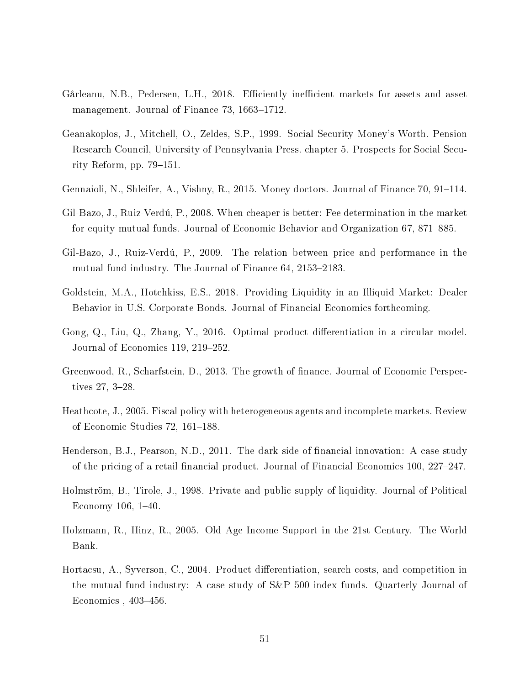- Gârleanu, N.B., Pedersen, L.H., 2018. Efficiently inefficient markets for assets and asset management. Journal of Finance 73, 1663–1712.
- Geanakoplos, J., Mitchell, O., Zeldes, S.P., 1999. Social Security Money's Worth. Pension Research Council, University of Pennsylvania Press. chapter 5. Prospects for Social Security Reform, pp.  $79-151$ .
- Gennaioli, N., Shleifer, A., Vishny, R., 2015. Money doctors. Journal of Finance  $70, 91-114$ .
- Gil-Bazo, J., Ruiz-Verdú, P., 2008. When cheaper is better: Fee determination in the market for equity mutual funds. Journal of Economic Behavior and Organization 67, 871–885.
- Gil-Bazo, J., Ruiz-Verdú, P., 2009. The relation between price and performance in the mutual fund industry. The Journal of Finance  $64, 2153-2183$ .
- Goldstein, M.A., Hotchkiss, E.S., 2018. Providing Liquidity in an Illiquid Market: Dealer Behavior in U.S. Corporate Bonds. Journal of Financial Economics forthcoming.
- Gong, Q., Liu, Q., Zhang, Y., 2016. Optimal product differentiation in a circular model. Journal of Economics 119,  $219-252$ .
- Greenwood, R., Scharfstein, D., 2013. The growth of finance. Journal of Economic Perspectives  $27, 3-28.$
- Heathcote, J., 2005. Fiscal policy with heterogeneous agents and incomplete markets. Review of Economic Studies 72, 161–188.
- Henderson, B.J., Pearson, N.D., 2011. The dark side of financial innovation: A case study of the pricing of a retail financial product. Journal of Financial Economics 100,  $227-247$ .
- Holmström, B., Tirole, J., 1998. Private and public supply of liquidity. Journal of Political Economy  $106, 1-40.$
- Holzmann, R., Hinz, R., 2005. Old Age Income Support in the 21st Century. The World Bank.
- Hortacsu, A., Syverson, C., 2004. Product differentiation, search costs, and competition in the mutual fund industry: A case study of S&P 500 index funds. Quarterly Journal of Economics,  $403-456$ .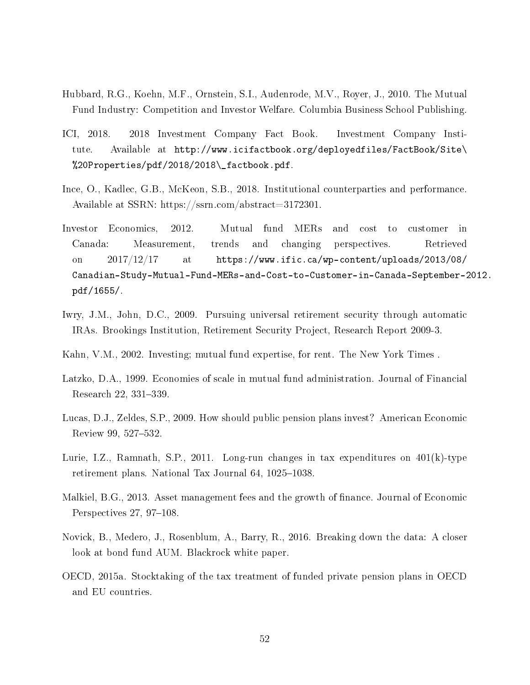- Hubbard, R.G., Koehn, M.F., Ornstein, S.I., Audenrode, M.V., Royer, J., 2010. The Mutual Fund Industry: Competition and Investor Welfare. Columbia Business School Publishing.
- ICI, 2018. 2018 Investment Company Fact Book. Investment Company Institute. Available at http://www.icifactbook.org/deployedfiles/FactBook/Site\ %20Properties/pdf/2018/2018\\_factbook.pdf.
- Ince, O., Kadlec, G.B., McKeon, S.B., 2018. Institutional counterparties and performance. Available at SSRN: https://ssrn.com/abstract=3172301.
- Investor Economics, 2012. Mutual fund MERs and cost to customer in Canada: Measurement, trends and changing perspectives. Retrieved on 2017/12/17 at https://www.ific.ca/wp-content/uploads/2013/08/ Canadian-Study-Mutual-Fund-MERs-and-Cost-to-Customer-in-Canada-September-2012. pdf/1655/.
- Iwry, J.M., John, D.C., 2009. Pursuing universal retirement security through automatic IRAs. Brookings Institution, Retirement Security Project, Research Report 2009-3.
- Kahn, V.M., 2002. Investing; mutual fund expertise, for rent. The New York Times .
- Latzko, D.A., 1999. Economies of scale in mutual fund administration. Journal of Financial Research 22, 331-339.
- Lucas, D.J., Zeldes, S.P., 2009. How should public pension plans invest? American Economic Review 99, 527–532.
- Lurie, I.Z., Ramnath, S.P., 2011. Long-run changes in tax expenditures on  $401(k)$ -type retirement plans. National Tax Journal 64, 1025–1038.
- Malkiel, B.G., 2013. Asset management fees and the growth of finance. Journal of Economic Perspectives  $27, 97-108$ .
- Novick, B., Medero, J., Rosenblum, A., Barry, R., 2016. Breaking down the data: A closer look at bond fund AUM. Blackrock white paper.
- OECD, 2015a. Stocktaking of the tax treatment of funded private pension plans in OECD and EU countries.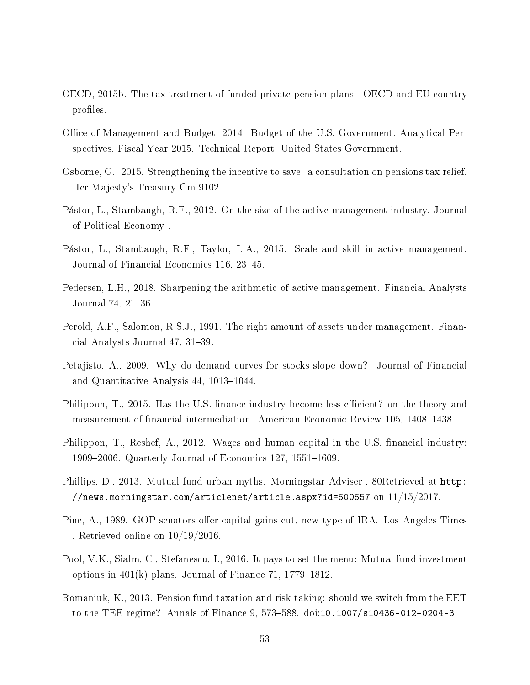- OECD, 2015b. The tax treatment of funded private pension plans OECD and EU country profiles.
- Office of Management and Budget, 2014. Budget of the U.S. Government. Analytical Perspectives. Fiscal Year 2015. Technical Report. United States Government.
- Osborne, G., 2015. Strengthening the incentive to save: a consultation on pensions tax relief. Her Majesty's Treasury Cm 9102.
- Pástor, L., Stambaugh, R.F., 2012. On the size of the active management industry. Journal of Political Economy .
- Pástor, L., Stambaugh, R.F., Taylor, L.A., 2015. Scale and skill in active management. Journal of Financial Economics 116, 23–45.
- Pedersen, L.H., 2018. Sharpening the arithmetic of active management. Financial Analysts Journal 74, 21-36.
- Perold, A.F., Salomon, R.S.J., 1991. The right amount of assets under management. Financial Analysts Journal 47, 31–39.
- Petajisto, A., 2009. Why do demand curves for stocks slope down? Journal of Financial and Quantitative Analysis 44, 1013–1044.
- Philippon, T., 2015. Has the U.S. finance industry become less efficient? on the theory and measurement of financial intermediation. American Economic Review 105, 1408–1438.
- Philippon, T., Reshef, A., 2012. Wages and human capital in the U.S. financial industry: 1909–2006. Quarterly Journal of Economics 127, 1551–1609.
- Phillips, D., 2013. Mutual fund urban myths. Morningstar Adviser , 80Retrieved at http: //news.morningstar.com/articlenet/article.aspx?id=600657 on  $11/15/2017$ .
- Pine, A., 1989. GOP senators offer capital gains cut, new type of IRA. Los Angeles Times . Retrieved online on 10/19/2016.
- Pool, V.K., Sialm, C., Stefanescu, I., 2016. It pays to set the menu: Mutual fund investment options in  $401(k)$  plans. Journal of Finance 71, 1779–1812.
- Romaniuk, K., 2013. Pension fund taxation and risk-taking: should we switch from the EET to the TEE regime? Annals of Finance 9, 573-588. doi:10.1007/s10436-012-0204-3.